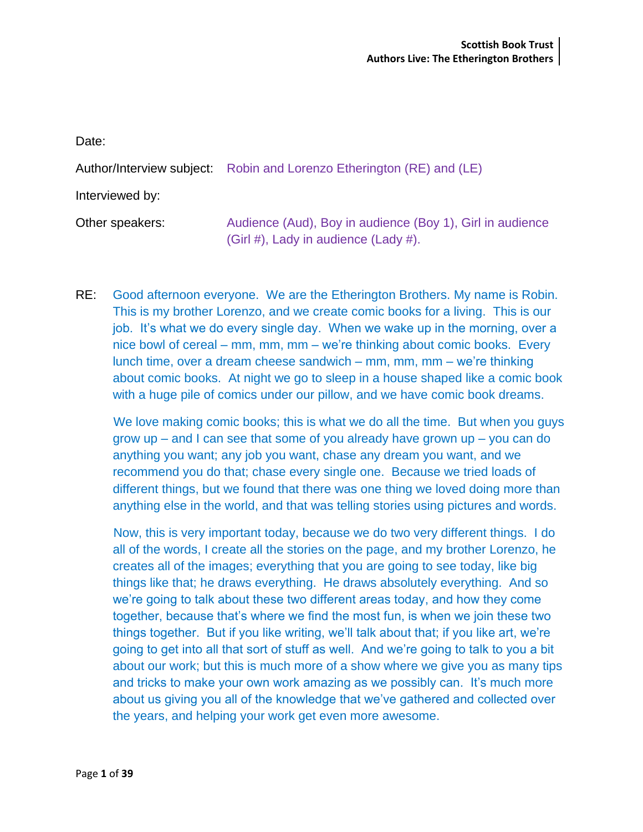Date: Author/Interview subject: Robin and Lorenzo Etherington (RE) and (LE) Interviewed by: Other speakers: Audience (Aud), Boy in audience (Boy 1), Girl in audience (Girl #), Lady in audience (Lady #).

RE: Good afternoon everyone. We are the Etherington Brothers. My name is Robin. This is my brother Lorenzo, and we create comic books for a living. This is our job. It's what we do every single day. When we wake up in the morning, over a nice bowl of cereal – mm, mm, mm – we're thinking about comic books. Every lunch time, over a dream cheese sandwich – mm, mm, mm – we're thinking about comic books. At night we go to sleep in a house shaped like a comic book with a huge pile of comics under our pillow, and we have comic book dreams.

We love making comic books; this is what we do all the time. But when you guys grow up  $-$  and I can see that some of you already have grown up  $-$  you can do anything you want; any job you want, chase any dream you want, and we recommend you do that; chase every single one. Because we tried loads of different things, but we found that there was one thing we loved doing more than anything else in the world, and that was telling stories using pictures and words.

Now, this is very important today, because we do two very different things. I do all of the words, I create all the stories on the page, and my brother Lorenzo, he creates all of the images; everything that you are going to see today, like big things like that; he draws everything. He draws absolutely everything. And so we're going to talk about these two different areas today, and how they come together, because that's where we find the most fun, is when we join these two things together. But if you like writing, we'll talk about that; if you like art, we're going to get into all that sort of stuff as well. And we're going to talk to you a bit about our work; but this is much more of a show where we give you as many tips and tricks to make your own work amazing as we possibly can. It's much more about us giving you all of the knowledge that we've gathered and collected over the years, and helping your work get even more awesome.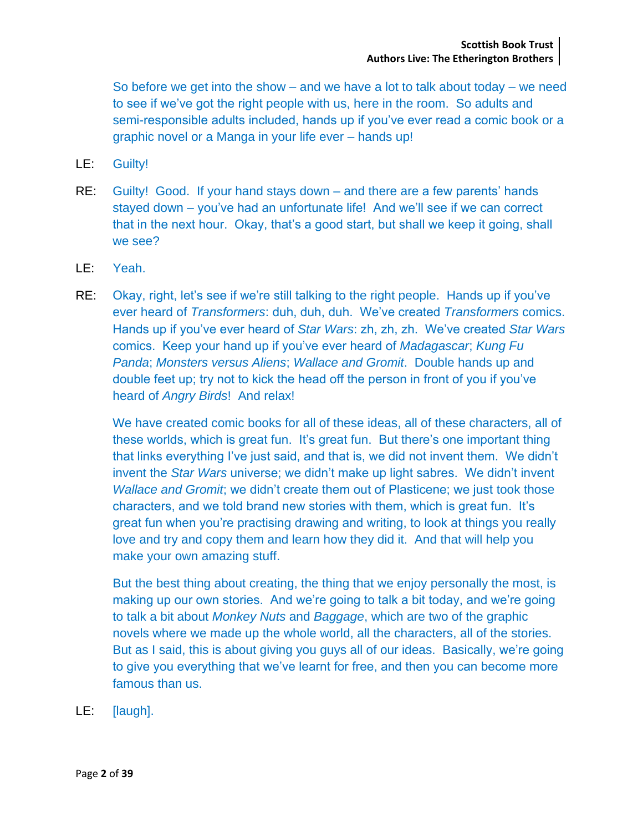So before we get into the show  $-$  and we have a lot to talk about today  $-$  we need to see if we've got the right people with us, here in the room. So adults and semi-responsible adults included, hands up if you've ever read a comic book or a graphic novel or a Manga in your life ever – hands up!

- LE: Guilty!
- RE: Guilty! Good. If your hand stays down and there are a few parents' hands stayed down – you've had an unfortunate life! And we'll see if we can correct that in the next hour. Okay, that's a good start, but shall we keep it going, shall we see?
- LE: Yeah.
- RE: Okay, right, let's see if we're still talking to the right people. Hands up if you've ever heard of *Transformers*: duh, duh, duh. We've created *Transformers* comics. Hands up if you've ever heard of *Star Wars*: zh, zh, zh. We've created *Star Wars* comics. Keep your hand up if you've ever heard of *Madagascar*; *Kung Fu Panda*; *Monsters versus Aliens*; *Wallace and Gromit*. Double hands up and double feet up; try not to kick the head off the person in front of you if you've heard of *Angry Birds*! And relax!

We have created comic books for all of these ideas, all of these characters, all of these worlds, which is great fun. It's great fun. But there's one important thing that links everything I've just said, and that is, we did not invent them. We didn't invent the *Star Wars* universe; we didn't make up light sabres. We didn't invent *Wallace and Gromit*; we didn't create them out of Plasticene; we just took those characters, and we told brand new stories with them, which is great fun. It's great fun when you're practising drawing and writing, to look at things you really love and try and copy them and learn how they did it. And that will help you make your own amazing stuff.

But the best thing about creating, the thing that we enjoy personally the most, is making up our own stories. And we're going to talk a bit today, and we're going to talk a bit about *Monkey Nuts* and *Baggage*, which are two of the graphic novels where we made up the whole world, all the characters, all of the stories. But as I said, this is about giving you guys all of our ideas. Basically, we're going to give you everything that we've learnt for free, and then you can become more famous than us.

LE: [laugh].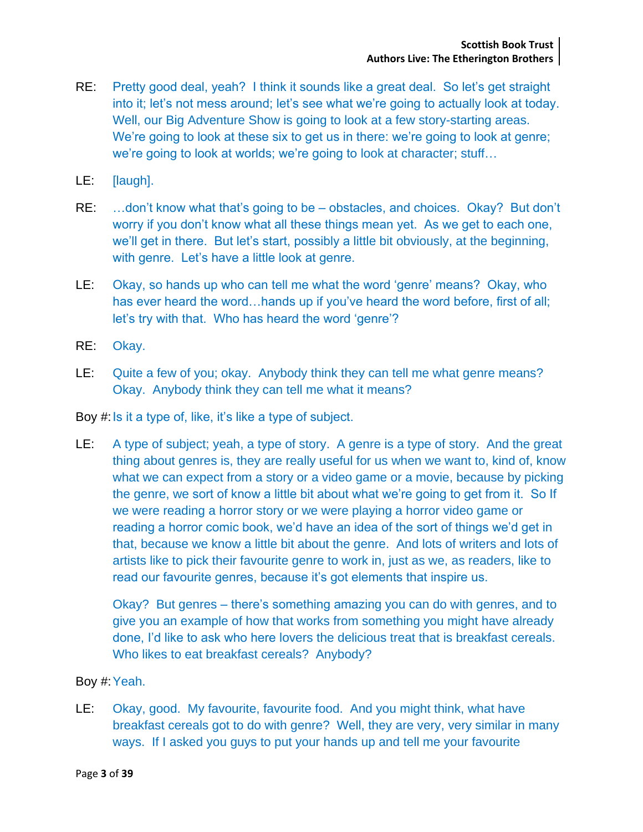- RE: Pretty good deal, yeah? I think it sounds like a great deal. So let's get straight into it; let's not mess around; let's see what we're going to actually look at today. Well, our Big Adventure Show is going to look at a few story-starting areas. We're going to look at these six to get us in there: we're going to look at genre; we're going to look at worlds; we're going to look at character; stuff…
- LE: [laugh].
- RE: …don't know what that's going to be obstacles, and choices. Okay? But don't worry if you don't know what all these things mean yet. As we get to each one, we'll get in there. But let's start, possibly a little bit obviously, at the beginning, with genre. Let's have a little look at genre.
- LE: Okay, so hands up who can tell me what the word 'genre' means? Okay, who has ever heard the word…hands up if you've heard the word before, first of all; let's try with that. Who has heard the word 'genre'?
- RE: Okay.
- LE: Quite a few of you; okay. Anybody think they can tell me what genre means? Okay. Anybody think they can tell me what it means?

Boy #:Is it a type of, like, it's like a type of subject.

LE: A type of subject; yeah, a type of story. A genre is a type of story. And the great thing about genres is, they are really useful for us when we want to, kind of, know what we can expect from a story or a video game or a movie, because by picking the genre, we sort of know a little bit about what we're going to get from it. So If we were reading a horror story or we were playing a horror video game or reading a horror comic book, we'd have an idea of the sort of things we'd get in that, because we know a little bit about the genre. And lots of writers and lots of artists like to pick their favourite genre to work in, just as we, as readers, like to read our favourite genres, because it's got elements that inspire us.

Okay? But genres – there's something amazing you can do with genres, and to give you an example of how that works from something you might have already done, I'd like to ask who here lovers the delicious treat that is breakfast cereals. Who likes to eat breakfast cereals? Anybody?

Boy #:Yeah.

LE: Okay, good. My favourite, favourite food. And you might think, what have breakfast cereals got to do with genre? Well, they are very, very similar in many ways. If I asked you guys to put your hands up and tell me your favourite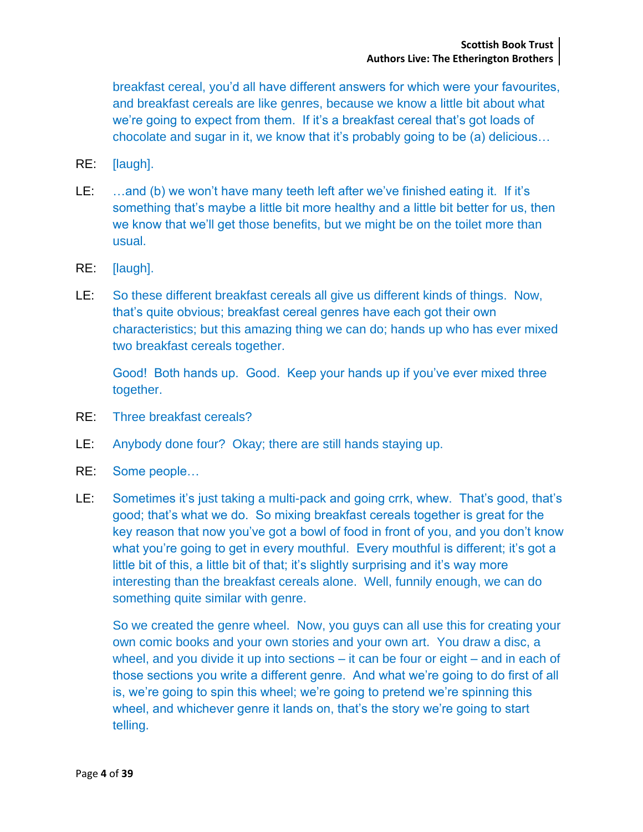breakfast cereal, you'd all have different answers for which were your favourites, and breakfast cereals are like genres, because we know a little bit about what we're going to expect from them. If it's a breakfast cereal that's got loads of chocolate and sugar in it, we know that it's probably going to be (a) delicious…

- RE: [laugh].
- LE: ...and (b) we won't have many teeth left after we've finished eating it. If it's something that's maybe a little bit more healthy and a little bit better for us, then we know that we'll get those benefits, but we might be on the toilet more than usual.
- RE: [laugh].
- LE: So these different breakfast cereals all give us different kinds of things. Now, that's quite obvious; breakfast cereal genres have each got their own characteristics; but this amazing thing we can do; hands up who has ever mixed two breakfast cereals together.

Good! Both hands up. Good. Keep your hands up if you've ever mixed three together.

- RE: Three breakfast cereals?
- LE: Anybody done four? Okay; there are still hands staying up.
- RE: Some people…
- LE: Sometimes it's just taking a multi-pack and going crrk, whew. That's good, that's good; that's what we do. So mixing breakfast cereals together is great for the key reason that now you've got a bowl of food in front of you, and you don't know what you're going to get in every mouthful. Every mouthful is different; it's got a little bit of this, a little bit of that; it's slightly surprising and it's way more interesting than the breakfast cereals alone. Well, funnily enough, we can do something quite similar with genre.

So we created the genre wheel. Now, you guys can all use this for creating your own comic books and your own stories and your own art. You draw a disc, a wheel, and you divide it up into sections – it can be four or eight – and in each of those sections you write a different genre. And what we're going to do first of all is, we're going to spin this wheel; we're going to pretend we're spinning this wheel, and whichever genre it lands on, that's the story we're going to start telling.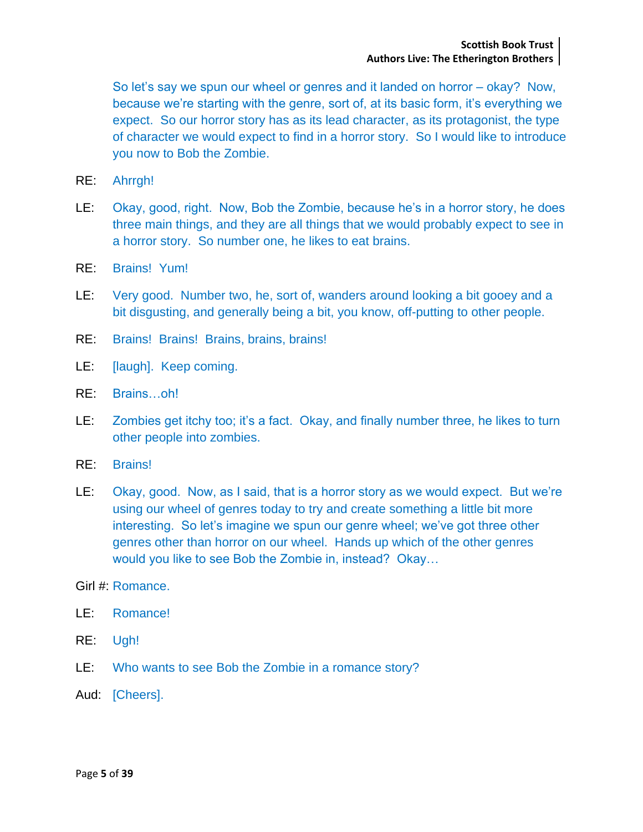So let's say we spun our wheel or genres and it landed on horror – okay? Now, because we're starting with the genre, sort of, at its basic form, it's everything we expect. So our horror story has as its lead character, as its protagonist, the type of character we would expect to find in a horror story. So I would like to introduce you now to Bob the Zombie.

- RE: Ahrrgh!
- LE: Okay, good, right. Now, Bob the Zombie, because he's in a horror story, he does three main things, and they are all things that we would probably expect to see in a horror story. So number one, he likes to eat brains.
- RE: Brains! Yum!
- LE: Very good. Number two, he, sort of, wanders around looking a bit gooey and a bit disgusting, and generally being a bit, you know, off-putting to other people.
- RE: Brains! Brains! Brains, brains, brains!
- LE: [laugh]. Keep coming.
- RE: Brains…oh!
- LE: Zombies get itchy too; it's a fact. Okay, and finally number three, he likes to turn other people into zombies.
- RE: Brains!
- LE: Okay, good. Now, as I said, that is a horror story as we would expect. But we're using our wheel of genres today to try and create something a little bit more interesting. So let's imagine we spun our genre wheel; we've got three other genres other than horror on our wheel. Hands up which of the other genres would you like to see Bob the Zombie in, instead? Okay…
- Girl #: Romance.
- LE: Romance!
- RE: Ugh!
- LE: Who wants to see Bob the Zombie in a romance story?
- Aud: [Cheers].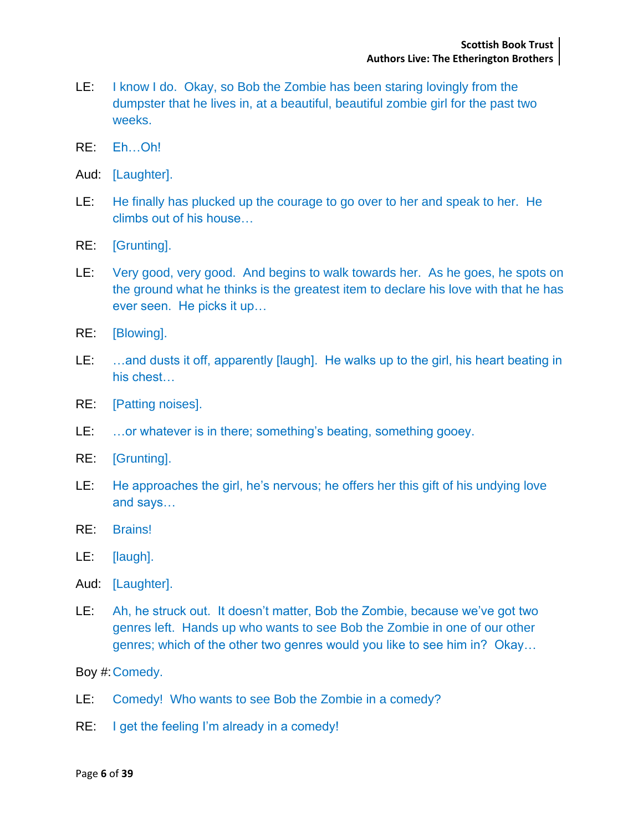- LE: I know I do. Okay, so Bob the Zombie has been staring lovingly from the dumpster that he lives in, at a beautiful, beautiful zombie girl for the past two weeks.
- RE: Eh…Oh!
- Aud: [Laughter].
- LE: He finally has plucked up the courage to go over to her and speak to her. He climbs out of his house…
- RE: [Grunting].
- LE: Very good, very good. And begins to walk towards her. As he goes, he spots on the ground what he thinks is the greatest item to declare his love with that he has ever seen. He picks it up…
- RE: [Blowing].
- LE: ...and dusts it off, apparently [laugh]. He walks up to the girl, his heart beating in his chest…
- RE: [Patting noises].
- LE: …or whatever is in there; something's beating, something gooey.
- RE: [Grunting].
- LE: He approaches the girl, he's nervous; he offers her this gift of his undying love and says…
- RE: Brains!
- LE: [laugh].
- Aud: [Laughter].
- LE: Ah, he struck out. It doesn't matter, Bob the Zombie, because we've got two genres left. Hands up who wants to see Bob the Zombie in one of our other genres; which of the other two genres would you like to see him in? Okay…

Boy #:Comedy.

- LE: Comedy! Who wants to see Bob the Zombie in a comedy?
- RE: I get the feeling I'm already in a comedy!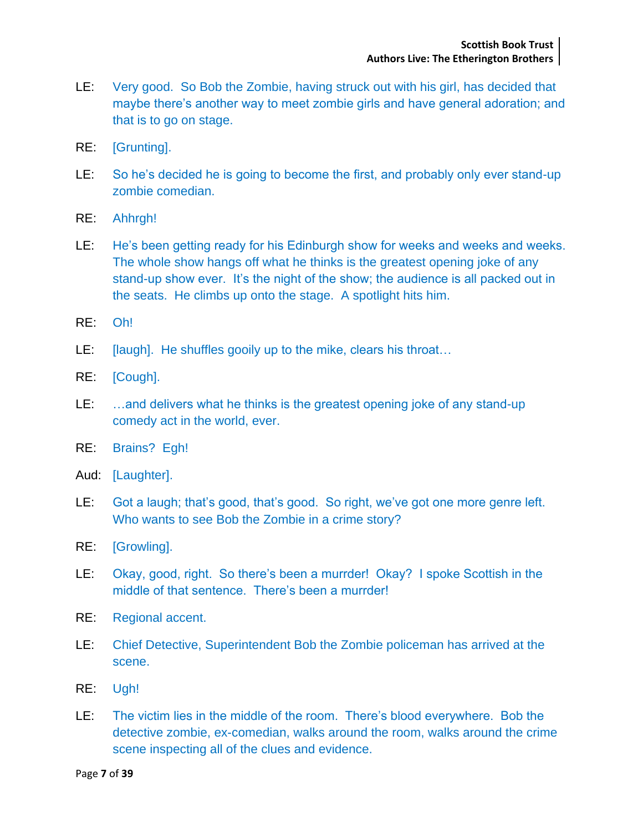- LE: Very good. So Bob the Zombie, having struck out with his girl, has decided that maybe there's another way to meet zombie girls and have general adoration; and that is to go on stage.
- RE: [Grunting].
- LE: So he's decided he is going to become the first, and probably only ever stand-up zombie comedian.
- RE: Ahhrgh!
- LE: He's been getting ready for his Edinburgh show for weeks and weeks and weeks. The whole show hangs off what he thinks is the greatest opening joke of any stand-up show ever. It's the night of the show; the audience is all packed out in the seats. He climbs up onto the stage. A spotlight hits him.
- RE: Oh!
- LE: [laugh]. He shuffles gooily up to the mike, clears his throat...
- RE: [Cough].
- LE: …and delivers what he thinks is the greatest opening joke of any stand-up comedy act in the world, ever.
- RE: Brains? Egh!
- Aud: [Laughter].
- LE: Got a laugh; that's good, that's good. So right, we've got one more genre left. Who wants to see Bob the Zombie in a crime story?
- RE: [Growling].
- LE: Okay, good, right. So there's been a murrder! Okay? I spoke Scottish in the middle of that sentence. There's been a murrder!
- RE: Regional accent.
- LE: Chief Detective, Superintendent Bob the Zombie policeman has arrived at the scene.
- RE: Ugh!
- LE: The victim lies in the middle of the room. There's blood everywhere. Bob the detective zombie, ex-comedian, walks around the room, walks around the crime scene inspecting all of the clues and evidence.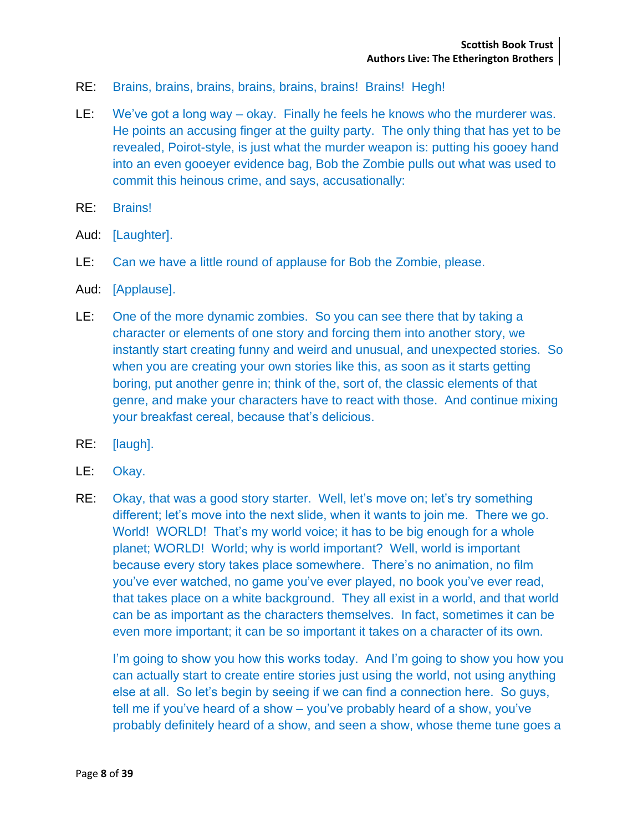- RE: Brains, brains, brains, brains, brains, brains! Brains! Hegh!
- LE: We've got a long way okay. Finally he feels he knows who the murderer was. He points an accusing finger at the guilty party. The only thing that has yet to be revealed, Poirot-style, is just what the murder weapon is: putting his gooey hand into an even gooeyer evidence bag, Bob the Zombie pulls out what was used to commit this heinous crime, and says, accusationally:
- RE: Brains!
- Aud: [Laughter].
- LE: Can we have a little round of applause for Bob the Zombie, please.
- Aud: [Applause].
- LE: One of the more dynamic zombies. So you can see there that by taking a character or elements of one story and forcing them into another story, we instantly start creating funny and weird and unusual, and unexpected stories. So when you are creating your own stories like this, as soon as it starts getting boring, put another genre in; think of the, sort of, the classic elements of that genre, and make your characters have to react with those. And continue mixing your breakfast cereal, because that's delicious.
- RE: [laugh].
- LE: Okay.
- RE: Okay, that was a good story starter. Well, let's move on; let's try something different; let's move into the next slide, when it wants to join me. There we go. World! WORLD! That's my world voice; it has to be big enough for a whole planet; WORLD! World; why is world important? Well, world is important because every story takes place somewhere. There's no animation, no film you've ever watched, no game you've ever played, no book you've ever read, that takes place on a white background. They all exist in a world, and that world can be as important as the characters themselves. In fact, sometimes it can be even more important; it can be so important it takes on a character of its own.

I'm going to show you how this works today. And I'm going to show you how you can actually start to create entire stories just using the world, not using anything else at all. So let's begin by seeing if we can find a connection here. So guys, tell me if you've heard of a show – you've probably heard of a show, you've probably definitely heard of a show, and seen a show, whose theme tune goes a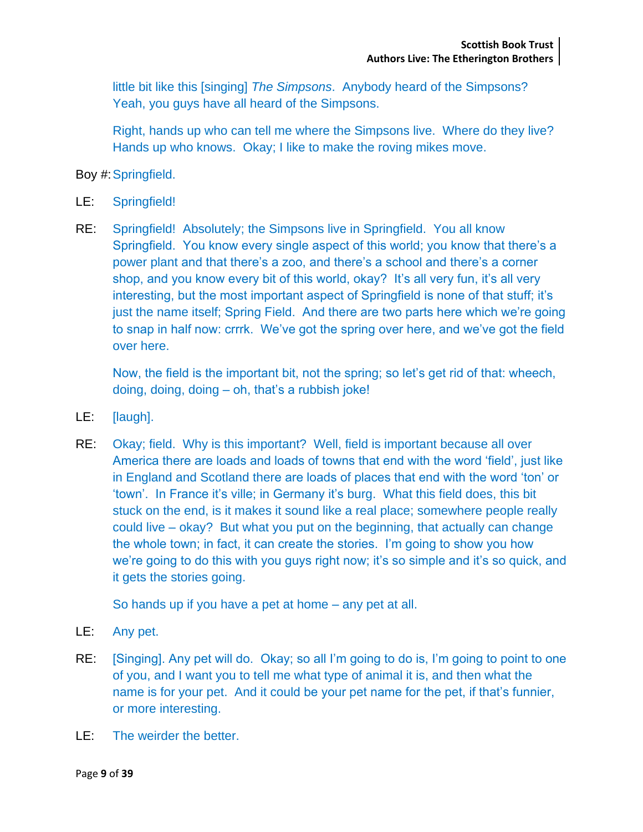little bit like this [singing] *The Simpsons*. Anybody heard of the Simpsons? Yeah, you guys have all heard of the Simpsons.

Right, hands up who can tell me where the Simpsons live. Where do they live? Hands up who knows. Okay; I like to make the roving mikes move.

Boy #:Springfield.

- LE: Springfield!
- RE: Springfield! Absolutely; the Simpsons live in Springfield. You all know Springfield. You know every single aspect of this world; you know that there's a power plant and that there's a zoo, and there's a school and there's a corner shop, and you know every bit of this world, okay? It's all very fun, it's all very interesting, but the most important aspect of Springfield is none of that stuff; it's just the name itself; Spring Field. And there are two parts here which we're going to snap in half now: crrrk. We've got the spring over here, and we've got the field over here.

Now, the field is the important bit, not the spring; so let's get rid of that: wheech, doing, doing, doing – oh, that's a rubbish joke!

- LE: [laugh].
- RE: Okay; field. Why is this important? Well, field is important because all over America there are loads and loads of towns that end with the word 'field', just like in England and Scotland there are loads of places that end with the word 'ton' or 'town'. In France it's ville; in Germany it's burg. What this field does, this bit stuck on the end, is it makes it sound like a real place; somewhere people really could live – okay? But what you put on the beginning, that actually can change the whole town; in fact, it can create the stories. I'm going to show you how we're going to do this with you guys right now; it's so simple and it's so quick, and it gets the stories going.

So hands up if you have a pet at home – any pet at all.

- LE: Any pet.
- RE: [Singing]. Any pet will do. Okay; so all I'm going to do is, I'm going to point to one of you, and I want you to tell me what type of animal it is, and then what the name is for your pet. And it could be your pet name for the pet, if that's funnier, or more interesting.
- LE: The weirder the better.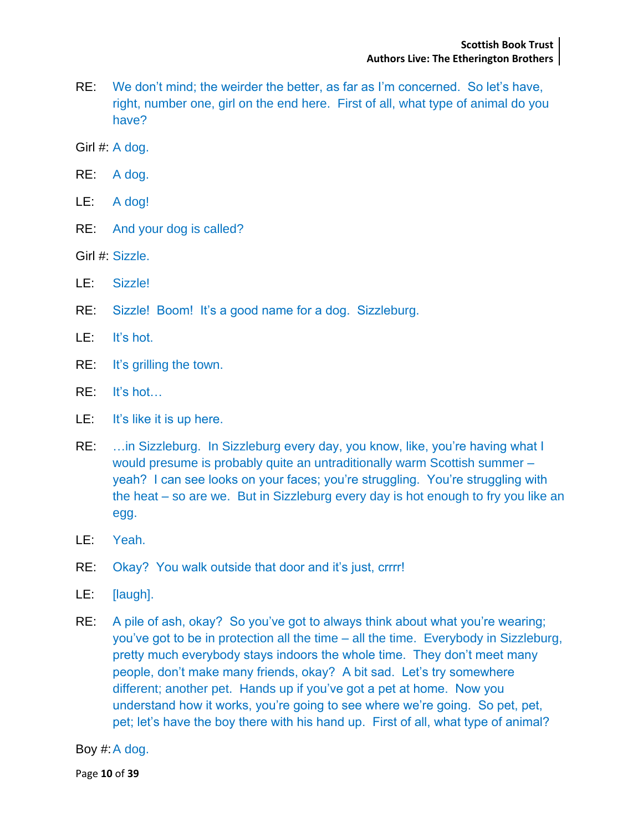- RE: We don't mind; the weirder the better, as far as I'm concerned. So let's have, right, number one, girl on the end here. First of all, what type of animal do you have?
- Girl #: A dog.
- RE: A dog.
- LE: A dog!
- RE: And your dog is called?
- Girl #: Sizzle.
- LE: Sizzle!
- RE: Sizzle! Boom! It's a good name for a dog. Sizzleburg.
- LE: It's hot.
- RE: It's grilling the town.
- RE: It's hot…
- LE: It's like it is up here.
- RE: …in Sizzleburg. In Sizzleburg every day, you know, like, you're having what I would presume is probably quite an untraditionally warm Scottish summer – yeah? I can see looks on your faces; you're struggling. You're struggling with the heat – so are we. But in Sizzleburg every day is hot enough to fry you like an egg.
- LE: Yeah.
- RE: Okay? You walk outside that door and it's just, crrrr!
- LE: [laugh].
- RE: A pile of ash, okay? So you've got to always think about what you're wearing; you've got to be in protection all the time – all the time. Everybody in Sizzleburg, pretty much everybody stays indoors the whole time. They don't meet many people, don't make many friends, okay? A bit sad. Let's try somewhere different; another pet. Hands up if you've got a pet at home. Now you understand how it works, you're going to see where we're going. So pet, pet, pet; let's have the boy there with his hand up. First of all, what type of animal?

Boy #:A dog.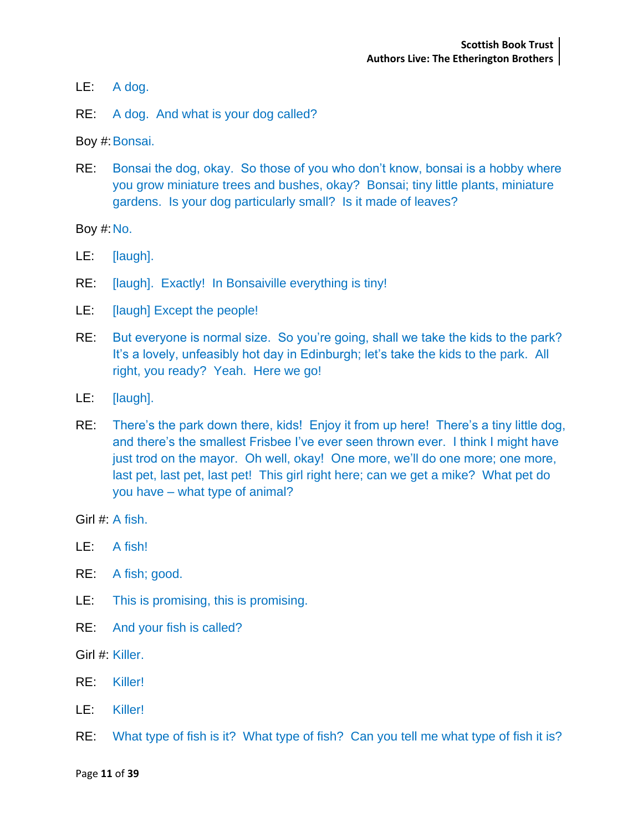- LE: A dog.
- RE: A dog. And what is your dog called?

Boy #:Bonsai.

RE: Bonsai the dog, okay. So those of you who don't know, bonsai is a hobby where you grow miniature trees and bushes, okay? Bonsai; tiny little plants, miniature gardens. Is your dog particularly small? Is it made of leaves?

Boy #:No.

- LE: [laugh].
- RE: [laugh]. Exactly! In Bonsaiville everything is tiny!
- LE: [laugh] Except the people!
- RE: But everyone is normal size. So you're going, shall we take the kids to the park? It's a lovely, unfeasibly hot day in Edinburgh; let's take the kids to the park. All right, you ready? Yeah. Here we go!
- LE: [laugh].
- RE: There's the park down there, kids! Enjoy it from up here! There's a tiny little dog, and there's the smallest Frisbee I've ever seen thrown ever. I think I might have just trod on the mayor. Oh well, okay! One more, we'll do one more; one more, last pet, last pet, last pet! This girl right here; can we get a mike? What pet do you have – what type of animal?

Girl #: A fish.

- LE: A fish!
- RE: A fish; good.
- LE: This is promising, this is promising.
- RE: And your fish is called?
- Girl #: Killer.
- RE: Killer!
- LE: Killer!
- RE: What type of fish is it? What type of fish? Can you tell me what type of fish it is?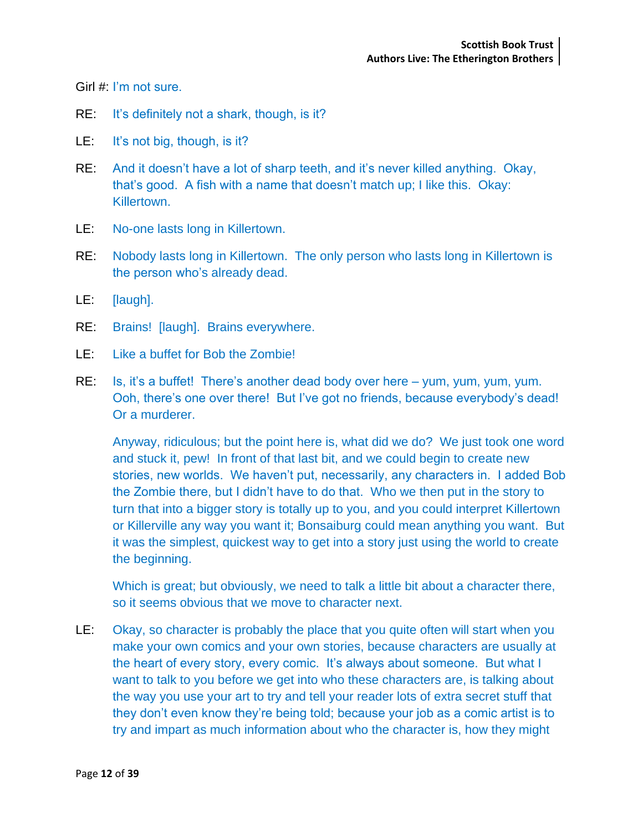Girl #: I'm not sure.

- RE: It's definitely not a shark, though, is it?
- LE: It's not big, though, is it?
- RE: And it doesn't have a lot of sharp teeth, and it's never killed anything. Okay, that's good. A fish with a name that doesn't match up; I like this. Okay: Killertown.
- LE: No-one lasts long in Killertown.
- RE: Nobody lasts long in Killertown. The only person who lasts long in Killertown is the person who's already dead.
- LE: [laugh].
- RE: Brains! [laugh]. Brains everywhere.
- LE: Like a buffet for Bob the Zombie!
- RE: Is, it's a buffet! There's another dead body over here yum, yum, yum, yum. Ooh, there's one over there! But I've got no friends, because everybody's dead! Or a murderer.

Anyway, ridiculous; but the point here is, what did we do? We just took one word and stuck it, pew! In front of that last bit, and we could begin to create new stories, new worlds. We haven't put, necessarily, any characters in. I added Bob the Zombie there, but I didn't have to do that. Who we then put in the story to turn that into a bigger story is totally up to you, and you could interpret Killertown or Killerville any way you want it; Bonsaiburg could mean anything you want. But it was the simplest, quickest way to get into a story just using the world to create the beginning.

Which is great; but obviously, we need to talk a little bit about a character there, so it seems obvious that we move to character next.

LE: Okay, so character is probably the place that you quite often will start when you make your own comics and your own stories, because characters are usually at the heart of every story, every comic. It's always about someone. But what I want to talk to you before we get into who these characters are, is talking about the way you use your art to try and tell your reader lots of extra secret stuff that they don't even know they're being told; because your job as a comic artist is to try and impart as much information about who the character is, how they might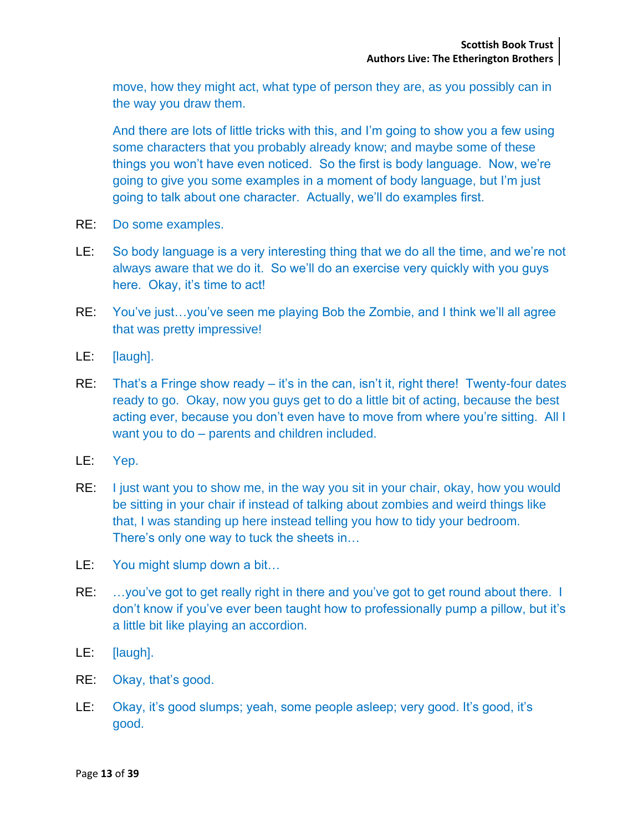move, how they might act, what type of person they are, as you possibly can in the way you draw them.

And there are lots of little tricks with this, and I'm going to show you a few using some characters that you probably already know; and maybe some of these things you won't have even noticed. So the first is body language. Now, we're going to give you some examples in a moment of body language, but I'm just going to talk about one character. Actually, we'll do examples first.

- RE: Do some examples.
- LE: So body language is a very interesting thing that we do all the time, and we're not always aware that we do it. So we'll do an exercise very quickly with you guys here. Okay, it's time to act!
- RE: You've just…you've seen me playing Bob the Zombie, and I think we'll all agree that was pretty impressive!
- LE: [laugh].
- RE: That's a Fringe show ready it's in the can, isn't it, right there! Twenty-four dates ready to go. Okay, now you guys get to do a little bit of acting, because the best acting ever, because you don't even have to move from where you're sitting. All I want you to do – parents and children included.
- LE: Yep.
- RE: I just want you to show me, in the way you sit in your chair, okay, how you would be sitting in your chair if instead of talking about zombies and weird things like that, I was standing up here instead telling you how to tidy your bedroom. There's only one way to tuck the sheets in…
- LE: You might slump down a bit...
- RE: ...you've got to get really right in there and you've got to get round about there. I don't know if you've ever been taught how to professionally pump a pillow, but it's a little bit like playing an accordion.
- LE: [laugh].
- RE: Okay, that's good.
- LE: Okay, it's good slumps; yeah, some people asleep; very good. It's good, it's good.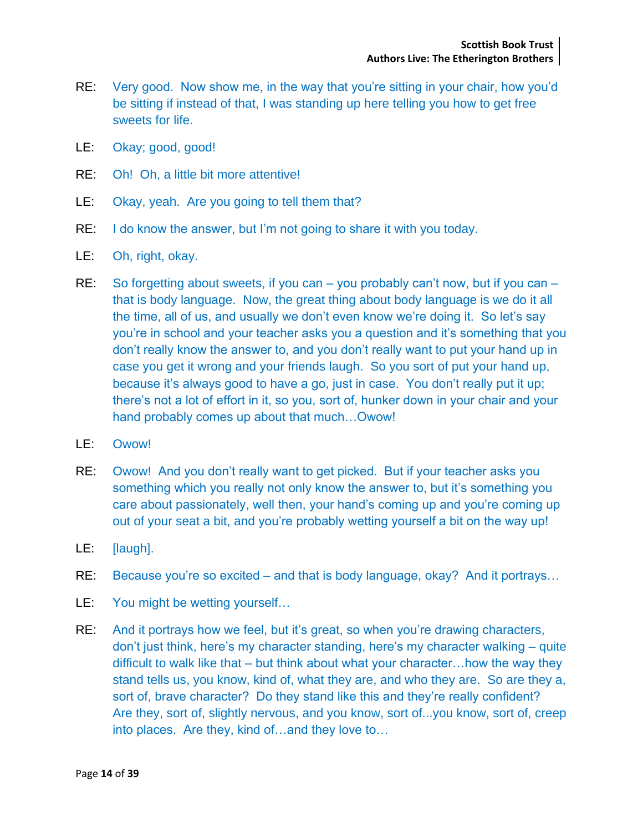- RE: Very good. Now show me, in the way that you're sitting in your chair, how you'd be sitting if instead of that, I was standing up here telling you how to get free sweets for life.
- LE: Okay; good, good!
- RE: Oh! Oh, a little bit more attentive!
- LE: Okay, yeah. Are you going to tell them that?
- RE: I do know the answer, but I'm not going to share it with you today.
- LE: Oh, right, okay.
- RE: So forgetting about sweets, if you can you probably can't now, but if you can that is body language. Now, the great thing about body language is we do it all the time, all of us, and usually we don't even know we're doing it. So let's say you're in school and your teacher asks you a question and it's something that you don't really know the answer to, and you don't really want to put your hand up in case you get it wrong and your friends laugh. So you sort of put your hand up, because it's always good to have a go, just in case. You don't really put it up; there's not a lot of effort in it, so you, sort of, hunker down in your chair and your hand probably comes up about that much…Owow!
- LE: Owow!
- RE: Owow! And you don't really want to get picked. But if your teacher asks you something which you really not only know the answer to, but it's something you care about passionately, well then, your hand's coming up and you're coming up out of your seat a bit, and you're probably wetting yourself a bit on the way up!
- LE: [laugh].
- RE: Because you're so excited and that is body language, okay? And it portrays...
- LE: You might be wetting yourself...
- RE: And it portrays how we feel, but it's great, so when you're drawing characters, don't just think, here's my character standing, here's my character walking – quite difficult to walk like that – but think about what your character…how the way they stand tells us, you know, kind of, what they are, and who they are. So are they a, sort of, brave character? Do they stand like this and they're really confident? Are they, sort of, slightly nervous, and you know, sort of...you know, sort of, creep into places. Are they, kind of…and they love to…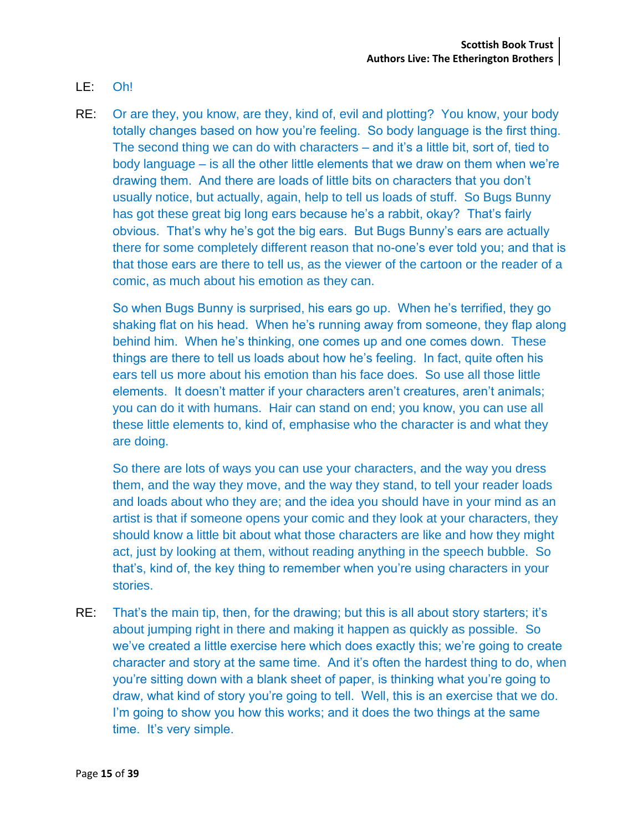- LE: Oh!
- RE: Or are they, you know, are they, kind of, evil and plotting? You know, your body totally changes based on how you're feeling. So body language is the first thing. The second thing we can do with characters – and it's a little bit, sort of, tied to body language – is all the other little elements that we draw on them when we're drawing them. And there are loads of little bits on characters that you don't usually notice, but actually, again, help to tell us loads of stuff. So Bugs Bunny has got these great big long ears because he's a rabbit, okay? That's fairly obvious. That's why he's got the big ears. But Bugs Bunny's ears are actually there for some completely different reason that no-one's ever told you; and that is that those ears are there to tell us, as the viewer of the cartoon or the reader of a comic, as much about his emotion as they can.

So when Bugs Bunny is surprised, his ears go up. When he's terrified, they go shaking flat on his head. When he's running away from someone, they flap along behind him. When he's thinking, one comes up and one comes down. These things are there to tell us loads about how he's feeling. In fact, quite often his ears tell us more about his emotion than his face does. So use all those little elements. It doesn't matter if your characters aren't creatures, aren't animals; you can do it with humans. Hair can stand on end; you know, you can use all these little elements to, kind of, emphasise who the character is and what they are doing.

So there are lots of ways you can use your characters, and the way you dress them, and the way they move, and the way they stand, to tell your reader loads and loads about who they are; and the idea you should have in your mind as an artist is that if someone opens your comic and they look at your characters, they should know a little bit about what those characters are like and how they might act, just by looking at them, without reading anything in the speech bubble. So that's, kind of, the key thing to remember when you're using characters in your stories.

RE: That's the main tip, then, for the drawing; but this is all about story starters; it's about jumping right in there and making it happen as quickly as possible. So we've created a little exercise here which does exactly this; we're going to create character and story at the same time. And it's often the hardest thing to do, when you're sitting down with a blank sheet of paper, is thinking what you're going to draw, what kind of story you're going to tell. Well, this is an exercise that we do. I'm going to show you how this works; and it does the two things at the same time. It's very simple.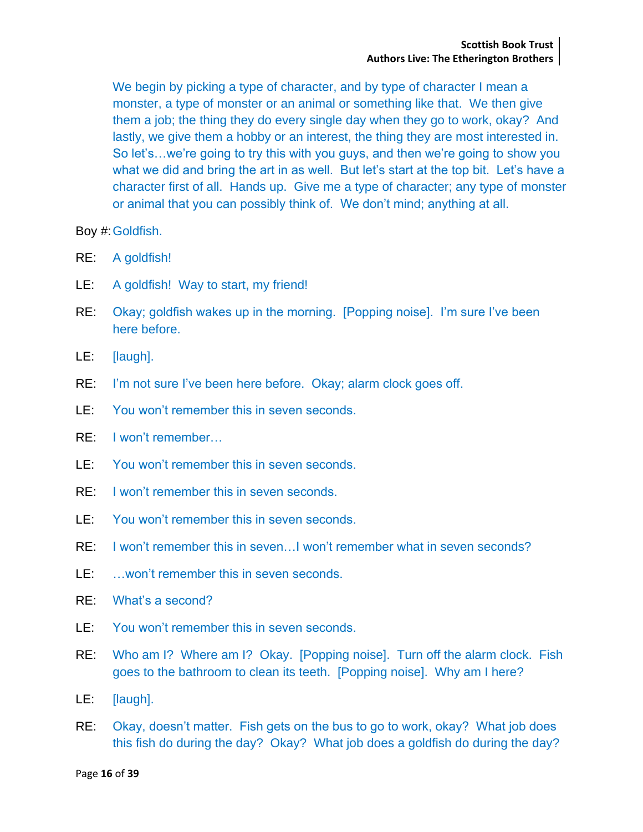We begin by picking a type of character, and by type of character I mean a monster, a type of monster or an animal or something like that. We then give them a job; the thing they do every single day when they go to work, okay? And lastly, we give them a hobby or an interest, the thing they are most interested in. So let's…we're going to try this with you guys, and then we're going to show you what we did and bring the art in as well. But let's start at the top bit. Let's have a character first of all. Hands up. Give me a type of character; any type of monster or animal that you can possibly think of. We don't mind; anything at all.

Boy #:Goldfish.

- RE: A goldfish!
- LE: A goldfish! Way to start, my friend!
- RE: Okay; goldfish wakes up in the morning. [Popping noise]. I'm sure I've been here before.
- LE: [laugh].
- RE: I'm not sure I've been here before. Okay; alarm clock goes off.
- LE: You won't remember this in seven seconds.
- RE: I won't remember…
- LE: You won't remember this in seven seconds.
- RE: I won't remember this in seven seconds.
- LE: You won't remember this in seven seconds.
- RE: I won't remember this in seven…I won't remember what in seven seconds?
- LE: …won't remember this in seven seconds.
- RE: What's a second?
- LE: You won't remember this in seven seconds.
- RE: Who am I? Where am I? Okay. [Popping noise]. Turn off the alarm clock. Fish goes to the bathroom to clean its teeth. [Popping noise]. Why am I here?
- LE: [laugh].
- RE: Okay, doesn't matter. Fish gets on the bus to go to work, okay? What job does this fish do during the day? Okay? What job does a goldfish do during the day?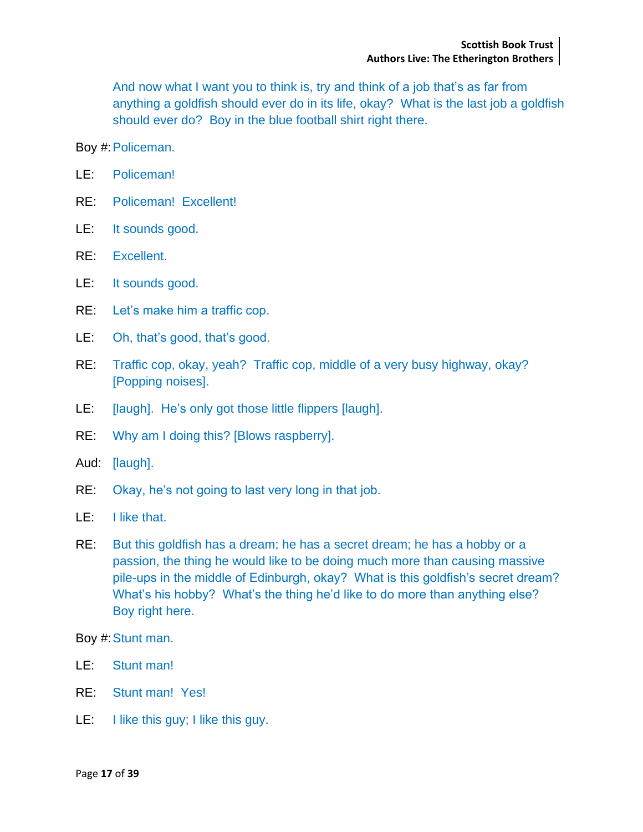And now what I want you to think is, try and think of a job that's as far from anything a goldfish should ever do in its life, okay? What is the last job a goldfish should ever do? Boy in the blue football shirt right there.

Boy #:Policeman.

- LE: Policeman!
- RE: Policeman! Excellent!
- LE: It sounds good.
- RE: Excellent.
- LE: It sounds good.
- RE: Let's make him a traffic cop.
- LE: Oh, that's good, that's good.
- RE: Traffic cop, okay, yeah? Traffic cop, middle of a very busy highway, okay? [Popping noises].
- LE: [laugh]. He's only got those little flippers [laugh].
- RE: Why am I doing this? [Blows raspberry].
- Aud: [laugh].
- RE: Okay, he's not going to last very long in that job.
- LE: I like that.
- RE: But this goldfish has a dream; he has a secret dream; he has a hobby or a passion, the thing he would like to be doing much more than causing massive pile-ups in the middle of Edinburgh, okay? What is this goldfish's secret dream? What's his hobby? What's the thing he'd like to do more than anything else? Boy right here.

Boy #: Stunt man.

- LE: Stunt man!
- RE: Stunt man! Yes!
- LE: I like this guy; I like this guy.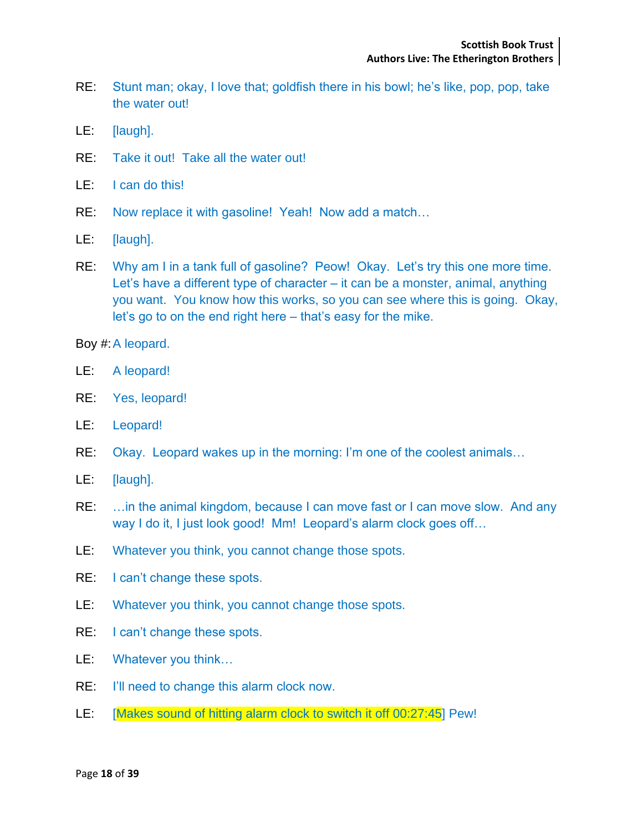- RE: Stunt man; okay, I love that; goldfish there in his bowl; he's like, pop, pop, take the water out!
- LE: [laugh].
- RE: Take it out! Take all the water out!
- LE: I can do this!
- RE: Now replace it with gasoline! Yeah! Now add a match…
- LE: [laugh].
- RE: Why am I in a tank full of gasoline? Peow! Okay. Let's try this one more time. Let's have a different type of character – it can be a monster, animal, anything you want. You know how this works, so you can see where this is going. Okay, let's go to on the end right here – that's easy for the mike.

Boy #:A leopard.

- LE: A leopard!
- RE: Yes, leopard!
- LE: Leopard!
- RE: Okay. Leopard wakes up in the morning: I'm one of the coolest animals…
- LE: [laugh].
- RE: ... in the animal kingdom, because I can move fast or I can move slow. And any way I do it, I just look good! Mm! Leopard's alarm clock goes off…
- LE: Whatever you think, you cannot change those spots.
- RE: I can't change these spots.
- LE: Whatever you think, you cannot change those spots.
- RE: I can't change these spots.
- LE: Whatever you think…
- RE: I'll need to change this alarm clock now.
- LE: [Makes sound of hitting alarm clock to switch it off 00:27:45<sup>]</sup> Pew!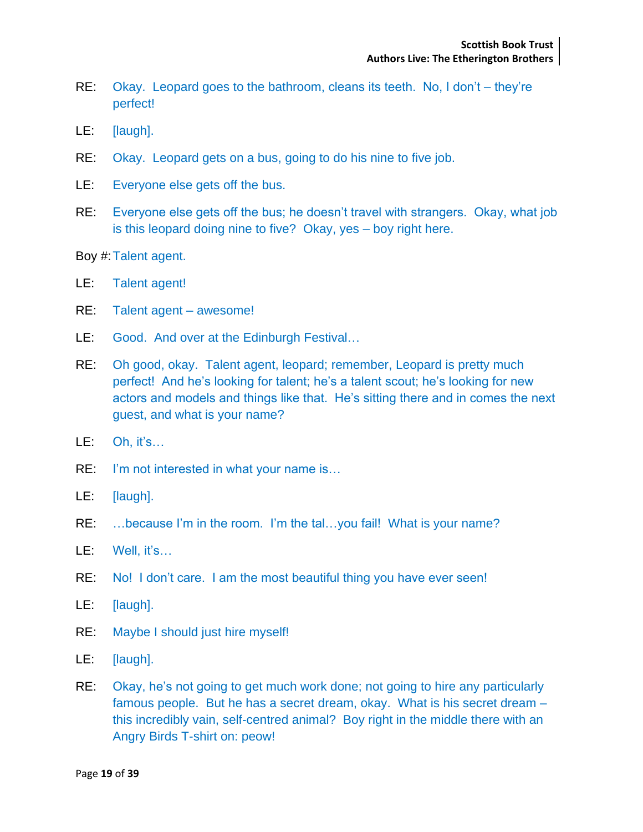- RE: Okay. Leopard goes to the bathroom, cleans its teeth. No, I don't they're perfect!
- LE: [laugh].
- RE: Okay. Leopard gets on a bus, going to do his nine to five job.
- LE: Everyone else gets off the bus.
- RE: Everyone else gets off the bus; he doesn't travel with strangers. Okay, what job is this leopard doing nine to five? Okay, yes – boy right here.
- Boy #:Talent agent.
- LE: Talent agent!
- RE: Talent agent awesome!
- LE: Good. And over at the Edinburgh Festival…
- RE: Oh good, okay. Talent agent, leopard; remember, Leopard is pretty much perfect! And he's looking for talent; he's a talent scout; he's looking for new actors and models and things like that. He's sitting there and in comes the next guest, and what is your name?
- LE: Oh, it's…
- RE: I'm not interested in what your name is...
- LE: [laugh].
- RE: ...because I'm in the room. I'm the tal...you fail! What is your name?
- LE: Well, it's...
- RE: No! I don't care. I am the most beautiful thing you have ever seen!
- LE: [laugh].
- RE: Maybe I should just hire myself!
- LE: [laugh].
- RE: Okay, he's not going to get much work done; not going to hire any particularly famous people. But he has a secret dream, okay. What is his secret dream – this incredibly vain, self-centred animal? Boy right in the middle there with an Angry Birds T-shirt on: peow!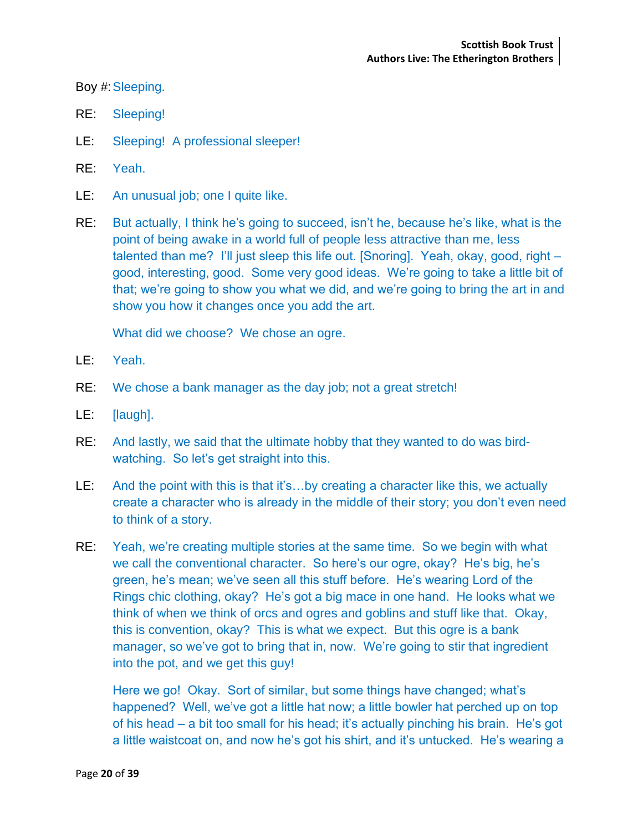Boy #:Sleeping.

- RE: Sleeping!
- LE: Sleeping! A professional sleeper!
- RE: Yeah.
- LE: An unusual job; one I quite like.
- RE: But actually, I think he's going to succeed, isn't he, because he's like, what is the point of being awake in a world full of people less attractive than me, less talented than me? I'll just sleep this life out. [Snoring]. Yeah, okay, good, right – good, interesting, good. Some very good ideas. We're going to take a little bit of that; we're going to show you what we did, and we're going to bring the art in and show you how it changes once you add the art.

What did we choose? We chose an ogre.

- LE: Yeah.
- RE: We chose a bank manager as the day job; not a great stretch!
- LE: [laugh].
- RE: And lastly, we said that the ultimate hobby that they wanted to do was birdwatching. So let's get straight into this.
- LE: And the point with this is that it's...by creating a character like this, we actually create a character who is already in the middle of their story; you don't even need to think of a story.
- RE: Yeah, we're creating multiple stories at the same time. So we begin with what we call the conventional character. So here's our ogre, okay? He's big, he's green, he's mean; we've seen all this stuff before. He's wearing Lord of the Rings chic clothing, okay? He's got a big mace in one hand. He looks what we think of when we think of orcs and ogres and goblins and stuff like that. Okay, this is convention, okay? This is what we expect. But this ogre is a bank manager, so we've got to bring that in, now. We're going to stir that ingredient into the pot, and we get this guy!

Here we go! Okay. Sort of similar, but some things have changed; what's happened? Well, we've got a little hat now; a little bowler hat perched up on top of his head – a bit too small for his head; it's actually pinching his brain. He's got a little waistcoat on, and now he's got his shirt, and it's untucked. He's wearing a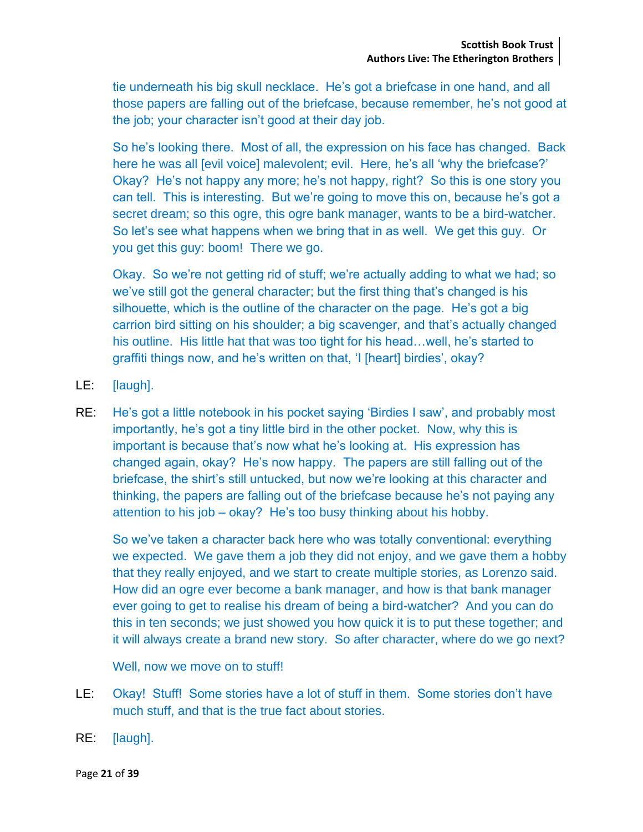tie underneath his big skull necklace. He's got a briefcase in one hand, and all those papers are falling out of the briefcase, because remember, he's not good at the job; your character isn't good at their day job.

So he's looking there. Most of all, the expression on his face has changed. Back here he was all [evil voice] malevolent; evil. Here, he's all 'why the briefcase?' Okay? He's not happy any more; he's not happy, right? So this is one story you can tell. This is interesting. But we're going to move this on, because he's got a secret dream; so this ogre, this ogre bank manager, wants to be a bird-watcher. So let's see what happens when we bring that in as well. We get this guy. Or you get this guy: boom! There we go.

Okay. So we're not getting rid of stuff; we're actually adding to what we had; so we've still got the general character; but the first thing that's changed is his silhouette, which is the outline of the character on the page. He's got a big carrion bird sitting on his shoulder; a big scavenger, and that's actually changed his outline. His little hat that was too tight for his head... well, he's started to graffiti things now, and he's written on that, 'I [heart] birdies', okay?

- LE: [laugh].
- RE: He's got a little notebook in his pocket saying 'Birdies I saw', and probably most importantly, he's got a tiny little bird in the other pocket. Now, why this is important is because that's now what he's looking at. His expression has changed again, okay? He's now happy. The papers are still falling out of the briefcase, the shirt's still untucked, but now we're looking at this character and thinking, the papers are falling out of the briefcase because he's not paying any attention to his job – okay? He's too busy thinking about his hobby.

So we've taken a character back here who was totally conventional: everything we expected. We gave them a job they did not enjoy, and we gave them a hobby that they really enjoyed, and we start to create multiple stories, as Lorenzo said. How did an ogre ever become a bank manager, and how is that bank manager ever going to get to realise his dream of being a bird-watcher? And you can do this in ten seconds; we just showed you how quick it is to put these together; and it will always create a brand new story. So after character, where do we go next?

Well, now we move on to stuff!

- LE: Okay! Stuff! Some stories have a lot of stuff in them. Some stories don't have much stuff, and that is the true fact about stories.
- RE: [laugh].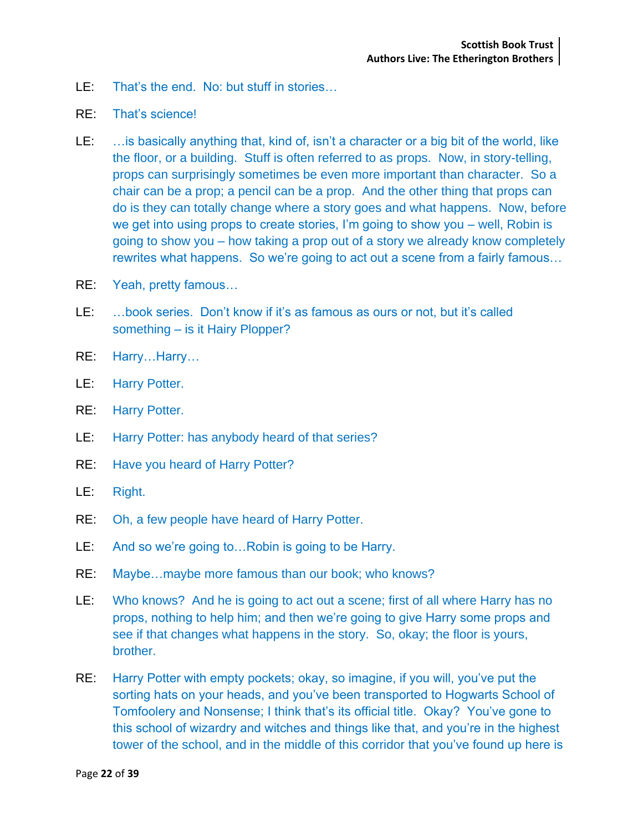- LE: That's the end. No: but stuff in stories…
- RE: That's science!
- LE: …is basically anything that, kind of, isn't a character or a big bit of the world, like the floor, or a building. Stuff is often referred to as props. Now, in story-telling, props can surprisingly sometimes be even more important than character. So a chair can be a prop; a pencil can be a prop. And the other thing that props can do is they can totally change where a story goes and what happens. Now, before we get into using props to create stories, I'm going to show you – well, Robin is going to show you – how taking a prop out of a story we already know completely rewrites what happens. So we're going to act out a scene from a fairly famous…
- RE: Yeah, pretty famous…
- LE: …book series. Don't know if it's as famous as ours or not, but it's called something – is it Hairy Plopper?
- RE: Harry…Harry…
- LE: Harry Potter.
- RE: Harry Potter.
- LE: Harry Potter: has anybody heard of that series?
- RE: Have you heard of Harry Potter?
- LE: Right.
- RE: Oh, a few people have heard of Harry Potter.
- LE: And so we're going to…Robin is going to be Harry.
- RE: Maybe…maybe more famous than our book; who knows?
- LE: Who knows? And he is going to act out a scene; first of all where Harry has no props, nothing to help him; and then we're going to give Harry some props and see if that changes what happens in the story. So, okay; the floor is yours, brother.
- RE: Harry Potter with empty pockets; okay, so imagine, if you will, you've put the sorting hats on your heads, and you've been transported to Hogwarts School of Tomfoolery and Nonsense; I think that's its official title. Okay? You've gone to this school of wizardry and witches and things like that, and you're in the highest tower of the school, and in the middle of this corridor that you've found up here is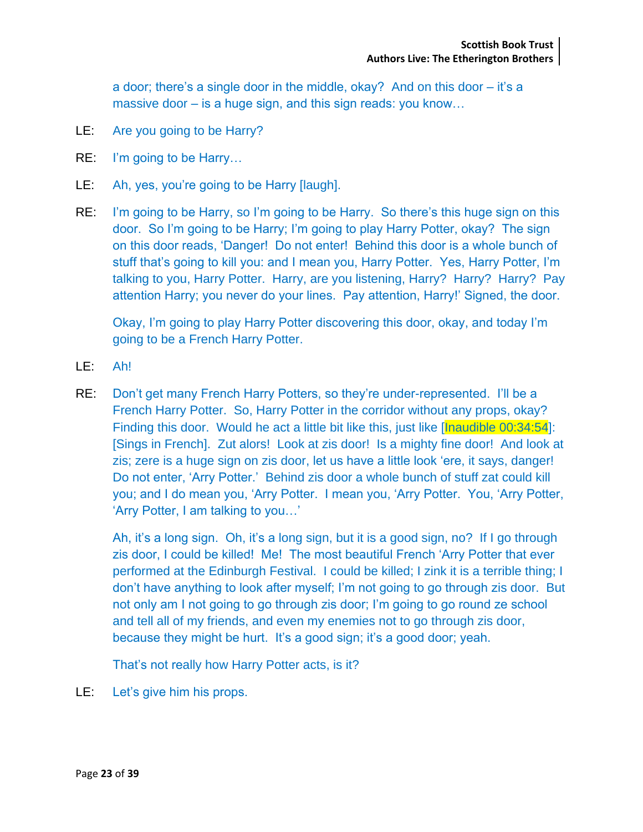a door; there's a single door in the middle, okay? And on this door – it's a massive door – is a huge sign, and this sign reads: you know...

- LE: Are you going to be Harry?
- RE: I'm going to be Harry…
- LE: Ah, yes, you're going to be Harry [laugh].
- RE: I'm going to be Harry, so I'm going to be Harry. So there's this huge sign on this door. So I'm going to be Harry; I'm going to play Harry Potter, okay? The sign on this door reads, 'Danger! Do not enter! Behind this door is a whole bunch of stuff that's going to kill you: and I mean you, Harry Potter. Yes, Harry Potter, I'm talking to you, Harry Potter. Harry, are you listening, Harry? Harry? Harry? Pay attention Harry; you never do your lines. Pay attention, Harry!' Signed, the door.

Okay, I'm going to play Harry Potter discovering this door, okay, and today I'm going to be a French Harry Potter.

- LE: Ah!
- RE: Don't get many French Harry Potters, so they're under-represented. I'll be a French Harry Potter. So, Harry Potter in the corridor without any props, okay? Finding this door. Would he act a little bit like this, just like [Inaudible 00:34:54]: [Sings in French]. Zut alors! Look at zis door! Is a mighty fine door! And look at zis; zere is a huge sign on zis door, let us have a little look 'ere, it says, danger! Do not enter, 'Arry Potter.' Behind zis door a whole bunch of stuff zat could kill you; and I do mean you, 'Arry Potter. I mean you, 'Arry Potter. You, 'Arry Potter, 'Arry Potter, I am talking to you…'

Ah, it's a long sign. Oh, it's a long sign, but it is a good sign, no? If I go through zis door, I could be killed! Me! The most beautiful French 'Arry Potter that ever performed at the Edinburgh Festival. I could be killed; I zink it is a terrible thing; I don't have anything to look after myself; I'm not going to go through zis door. But not only am I not going to go through zis door; I'm going to go round ze school and tell all of my friends, and even my enemies not to go through zis door, because they might be hurt. It's a good sign; it's a good door; yeah.

That's not really how Harry Potter acts, is it?

LE: Let's give him his props.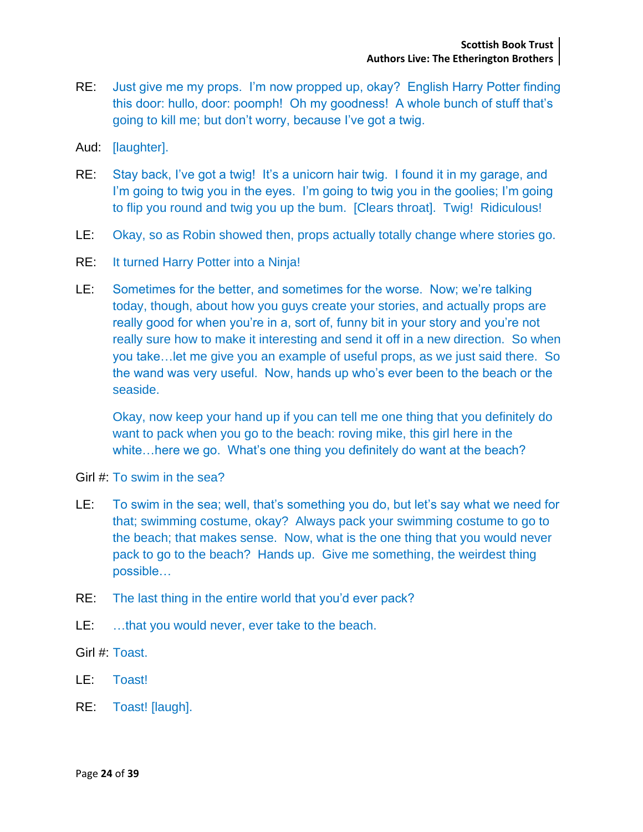- RE: Just give me my props. I'm now propped up, okay? English Harry Potter finding this door: hullo, door: poomph! Oh my goodness! A whole bunch of stuff that's going to kill me; but don't worry, because I've got a twig.
- Aud: [laughter].
- RE: Stay back, I've got a twig! It's a unicorn hair twig. I found it in my garage, and I'm going to twig you in the eyes. I'm going to twig you in the goolies; I'm going to flip you round and twig you up the bum. [Clears throat]. Twig! Ridiculous!
- LE: Okay, so as Robin showed then, props actually totally change where stories go.
- RE: It turned Harry Potter into a Ninja!
- LE: Sometimes for the better, and sometimes for the worse. Now; we're talking today, though, about how you guys create your stories, and actually props are really good for when you're in a, sort of, funny bit in your story and you're not really sure how to make it interesting and send it off in a new direction. So when you take…let me give you an example of useful props, as we just said there. So the wand was very useful. Now, hands up who's ever been to the beach or the seaside.

Okay, now keep your hand up if you can tell me one thing that you definitely do want to pack when you go to the beach: roving mike, this girl here in the white…here we go. What's one thing you definitely do want at the beach?

- Girl #: To swim in the sea?
- LE: To swim in the sea; well, that's something you do, but let's say what we need for that; swimming costume, okay? Always pack your swimming costume to go to the beach; that makes sense. Now, what is the one thing that you would never pack to go to the beach? Hands up. Give me something, the weirdest thing possible…
- RE: The last thing in the entire world that you'd ever pack?
- LE: …that you would never, ever take to the beach.
- Girl #: Toast.
- LE: Toast!
- RE: Toast! [laugh].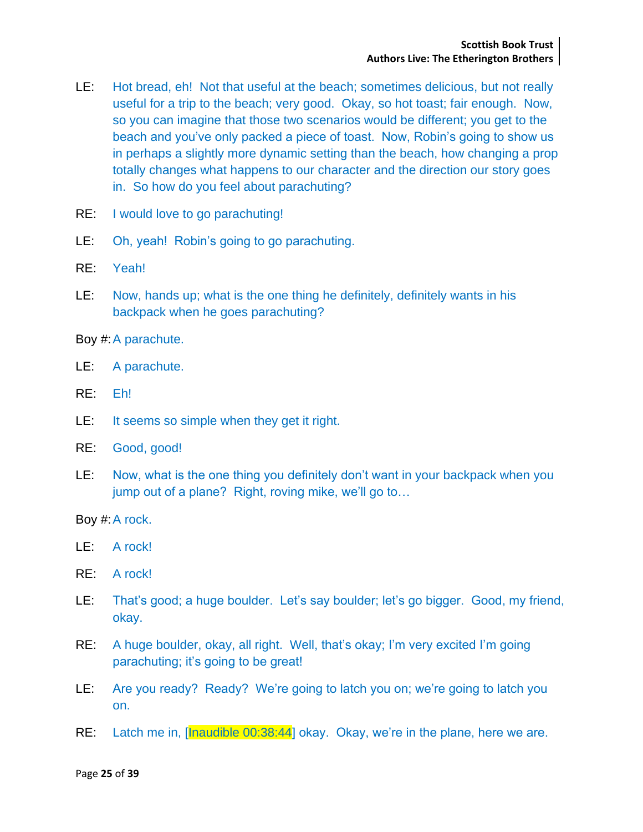- LE: Hot bread, eh! Not that useful at the beach; sometimes delicious, but not really useful for a trip to the beach; very good. Okay, so hot toast; fair enough. Now, so you can imagine that those two scenarios would be different; you get to the beach and you've only packed a piece of toast. Now, Robin's going to show us in perhaps a slightly more dynamic setting than the beach, how changing a prop totally changes what happens to our character and the direction our story goes in. So how do you feel about parachuting?
- RE: I would love to go parachuting!
- LE: Oh, yeah! Robin's going to go parachuting.
- RE: Yeah!
- LE: Now, hands up; what is the one thing he definitely, definitely wants in his backpack when he goes parachuting?

Boy #:A parachute.

- LE: A parachute.
- RE: Eh!
- LE: It seems so simple when they get it right.
- RE: Good, good!
- LE: Now, what is the one thing you definitely don't want in your backpack when you jump out of a plane? Right, roving mike, we'll go to…

Boy #: A rock.

- LE: A rock!
- RE: A rock!
- LE: That's good; a huge boulder. Let's say boulder; let's go bigger. Good, my friend, okay.
- RE: A huge boulder, okay, all right. Well, that's okay; I'm very excited I'm going parachuting; it's going to be great!
- LE: Are you ready? Ready? We're going to latch you on; we're going to latch you on.
- RE: Latch me in, [Inaudible 00:38:44] okay. Okay, we're in the plane, here we are.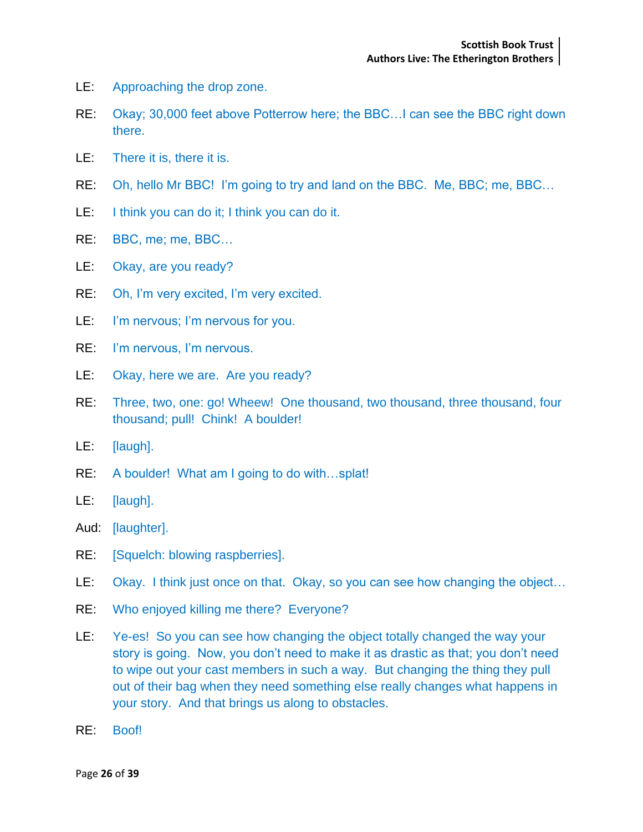- LE: Approaching the drop zone.
- RE: Okay; 30,000 feet above Potterrow here; the BBC…I can see the BBC right down there.
- LE: There it is, there it is.
- RE: Oh, hello Mr BBC! I'm going to try and land on the BBC. Me, BBC; me, BBC…
- LE: I think you can do it; I think you can do it.
- RE: BBC, me; me, BBC…
- LE: Okay, are you ready?
- RE: Oh, I'm very excited, I'm very excited.
- LE: I'm nervous; I'm nervous for you.
- RE: I'm nervous, I'm nervous.
- LE: Okay, here we are. Are you ready?
- RE: Three, two, one: go! Wheew! One thousand, two thousand, three thousand, four thousand; pull! Chink! A boulder!
- LE: [laugh].
- RE: A boulder! What am I going to do with…splat!
- LE: [laugh].
- Aud: [laughter].
- RE: [Squelch: blowing raspberries].
- LE: Okay. I think just once on that. Okay, so you can see how changing the object...
- RE: Who enjoyed killing me there? Everyone?
- LE: Ye-es! So you can see how changing the object totally changed the way your story is going. Now, you don't need to make it as drastic as that; you don't need to wipe out your cast members in such a way. But changing the thing they pull out of their bag when they need something else really changes what happens in your story. And that brings us along to obstacles.
- RE: Boof!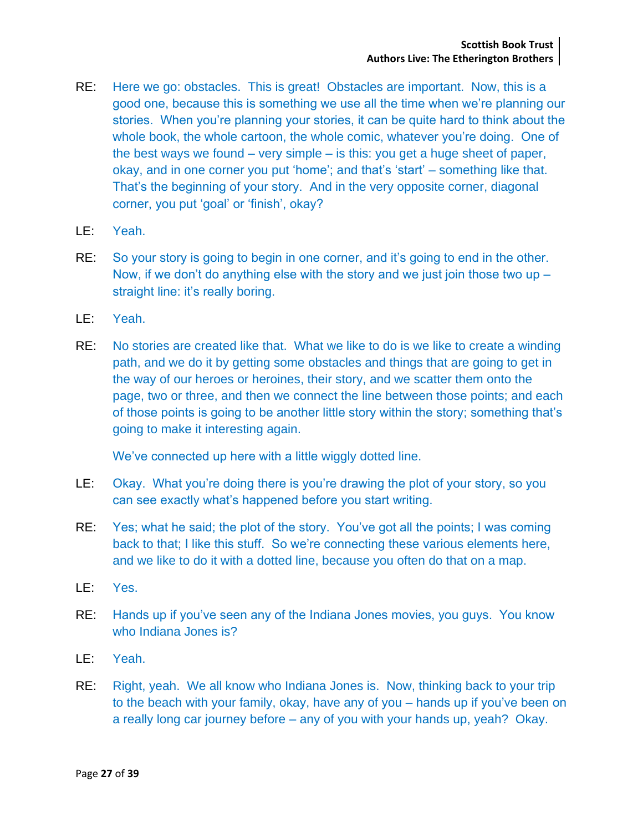- RE: Here we go: obstacles. This is great! Obstacles are important. Now, this is a good one, because this is something we use all the time when we're planning our stories. When you're planning your stories, it can be quite hard to think about the whole book, the whole cartoon, the whole comic, whatever you're doing. One of the best ways we found – very simple – is this: you get a huge sheet of paper, okay, and in one corner you put 'home'; and that's 'start' – something like that. That's the beginning of your story. And in the very opposite corner, diagonal corner, you put 'goal' or 'finish', okay?
- LE: Yeah.
- RE: So your story is going to begin in one corner, and it's going to end in the other. Now, if we don't do anything else with the story and we just join those two up – straight line: it's really boring.
- LE: Yeah.
- RE: No stories are created like that. What we like to do is we like to create a winding path, and we do it by getting some obstacles and things that are going to get in the way of our heroes or heroines, their story, and we scatter them onto the page, two or three, and then we connect the line between those points; and each of those points is going to be another little story within the story; something that's going to make it interesting again.

We've connected up here with a little wiggly dotted line.

- LE: Okay. What you're doing there is you're drawing the plot of your story, so you can see exactly what's happened before you start writing.
- RE: Yes; what he said; the plot of the story. You've got all the points; I was coming back to that; I like this stuff. So we're connecting these various elements here, and we like to do it with a dotted line, because you often do that on a map.
- LE: Yes.
- RE: Hands up if you've seen any of the Indiana Jones movies, you guys. You know who Indiana Jones is?
- LE: Yeah.
- RE: Right, yeah. We all know who Indiana Jones is. Now, thinking back to your trip to the beach with your family, okay, have any of you – hands up if you've been on a really long car journey before – any of you with your hands up, yeah? Okay.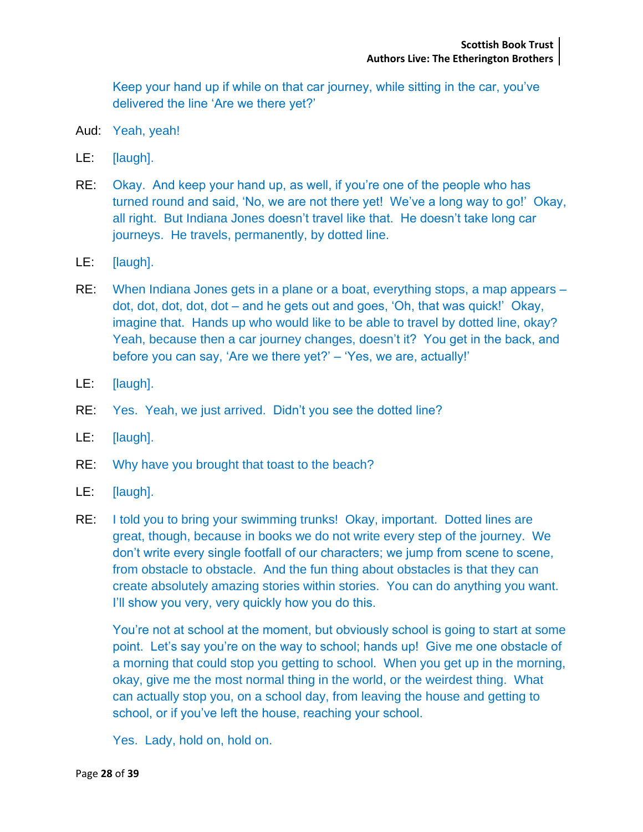Keep your hand up if while on that car journey, while sitting in the car, you've delivered the line 'Are we there yet?'

- Aud: Yeah, yeah!
- LE: [laugh].
- RE: Okay. And keep your hand up, as well, if you're one of the people who has turned round and said, 'No, we are not there yet! We've a long way to go!' Okay, all right. But Indiana Jones doesn't travel like that. He doesn't take long car journeys. He travels, permanently, by dotted line.
- LE: [laugh].
- RE: When Indiana Jones gets in a plane or a boat, everything stops, a map appears dot, dot, dot, dot, dot – and he gets out and goes, 'Oh, that was quick!' Okay, imagine that. Hands up who would like to be able to travel by dotted line, okay? Yeah, because then a car journey changes, doesn't it? You get in the back, and before you can say, 'Are we there yet?' – 'Yes, we are, actually!'
- LE: [laugh].
- RE: Yes. Yeah, we just arrived. Didn't you see the dotted line?
- LE: [laugh].
- RE: Why have you brought that toast to the beach?
- LE: [laugh].
- RE: I told you to bring your swimming trunks! Okay, important. Dotted lines are great, though, because in books we do not write every step of the journey. We don't write every single footfall of our characters; we jump from scene to scene, from obstacle to obstacle. And the fun thing about obstacles is that they can create absolutely amazing stories within stories. You can do anything you want. I'll show you very, very quickly how you do this.

You're not at school at the moment, but obviously school is going to start at some point. Let's say you're on the way to school; hands up! Give me one obstacle of a morning that could stop you getting to school. When you get up in the morning, okay, give me the most normal thing in the world, or the weirdest thing. What can actually stop you, on a school day, from leaving the house and getting to school, or if you've left the house, reaching your school.

Yes. Lady, hold on, hold on.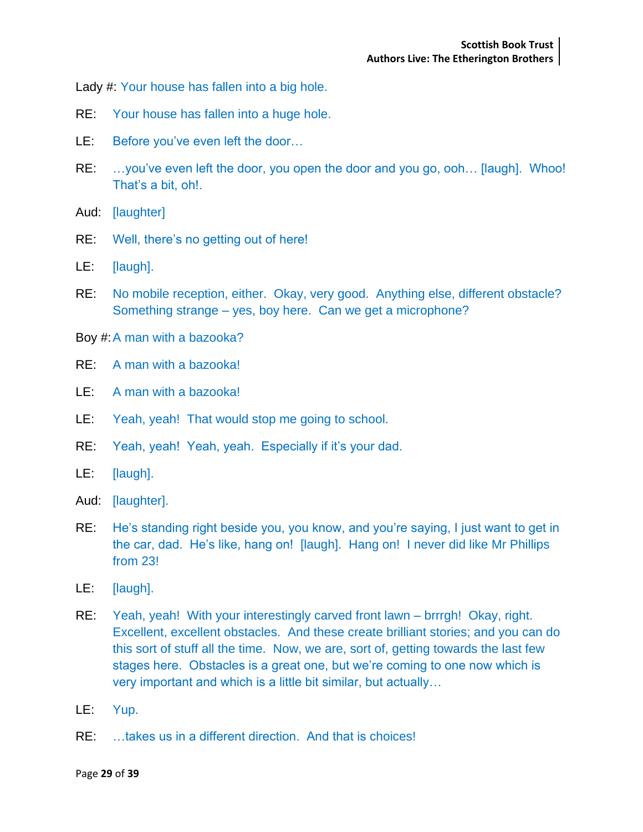Lady #: Your house has fallen into a big hole.

- RE: Your house has fallen into a huge hole.
- LE: Before you've even left the door...
- RE: …you've even left the door, you open the door and you go, ooh… [laugh]. Whoo! That's a bit, oh!.
- Aud: [laughter]
- RE: Well, there's no getting out of here!
- LE: [laugh].
- RE: No mobile reception, either. Okay, very good. Anything else, different obstacle? Something strange – yes, boy here. Can we get a microphone?
- Boy #:A man with a bazooka?
- RE: A man with a bazooka!
- LE: A man with a bazooka!
- LE: Yeah, yeah! That would stop me going to school.
- RE: Yeah, yeah! Yeah, yeah. Especially if it's your dad.
- LE: [laugh].
- Aud: [laughter].
- RE: He's standing right beside you, you know, and you're saying, I just want to get in the car, dad. He's like, hang on! [laugh]. Hang on! I never did like Mr Phillips from 23!
- LE: [laugh].
- RE: Yeah, yeah! With your interestingly carved front lawn brrrgh! Okay, right. Excellent, excellent obstacles. And these create brilliant stories; and you can do this sort of stuff all the time. Now, we are, sort of, getting towards the last few stages here. Obstacles is a great one, but we're coming to one now which is very important and which is a little bit similar, but actually…
- LE: Yup.
- RE: …takes us in a different direction. And that is choices!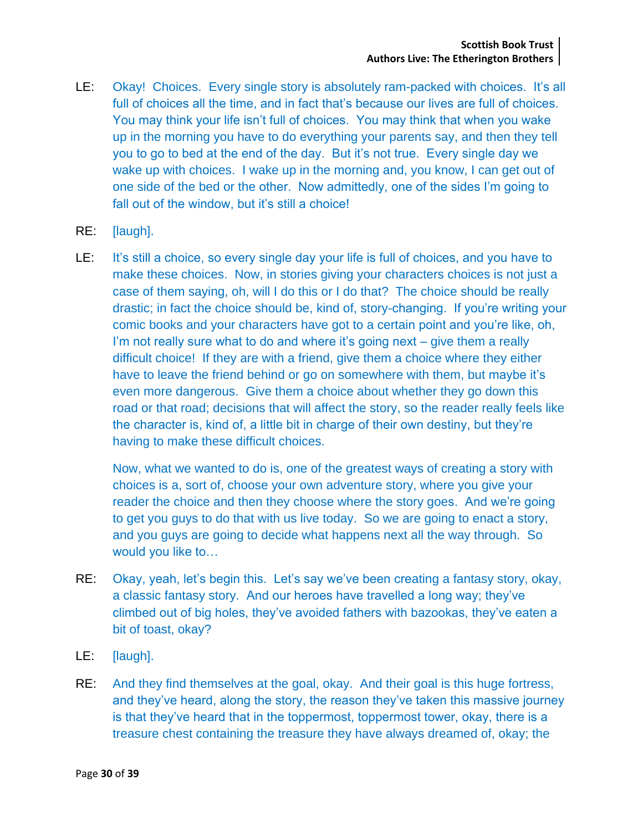- LE: Okay! Choices. Every single story is absolutely ram-packed with choices. It's all full of choices all the time, and in fact that's because our lives are full of choices. You may think your life isn't full of choices. You may think that when you wake up in the morning you have to do everything your parents say, and then they tell you to go to bed at the end of the day. But it's not true. Every single day we wake up with choices. I wake up in the morning and, you know, I can get out of one side of the bed or the other. Now admittedly, one of the sides I'm going to fall out of the window, but it's still a choice!
- RE: [laugh].
- LE: It's still a choice, so every single day your life is full of choices, and you have to make these choices. Now, in stories giving your characters choices is not just a case of them saying, oh, will I do this or I do that? The choice should be really drastic; in fact the choice should be, kind of, story-changing. If you're writing your comic books and your characters have got to a certain point and you're like, oh, I'm not really sure what to do and where it's going next – give them a really difficult choice! If they are with a friend, give them a choice where they either have to leave the friend behind or go on somewhere with them, but maybe it's even more dangerous. Give them a choice about whether they go down this road or that road; decisions that will affect the story, so the reader really feels like the character is, kind of, a little bit in charge of their own destiny, but they're having to make these difficult choices.

Now, what we wanted to do is, one of the greatest ways of creating a story with choices is a, sort of, choose your own adventure story, where you give your reader the choice and then they choose where the story goes. And we're going to get you guys to do that with us live today. So we are going to enact a story, and you guys are going to decide what happens next all the way through. So would you like to…

- RE: Okay, yeah, let's begin this. Let's say we've been creating a fantasy story, okay, a classic fantasy story. And our heroes have travelled a long way; they've climbed out of big holes, they've avoided fathers with bazookas, they've eaten a bit of toast, okay?
- LE: [laugh].
- RE: And they find themselves at the goal, okay. And their goal is this huge fortress, and they've heard, along the story, the reason they've taken this massive journey is that they've heard that in the toppermost, toppermost tower, okay, there is a treasure chest containing the treasure they have always dreamed of, okay; the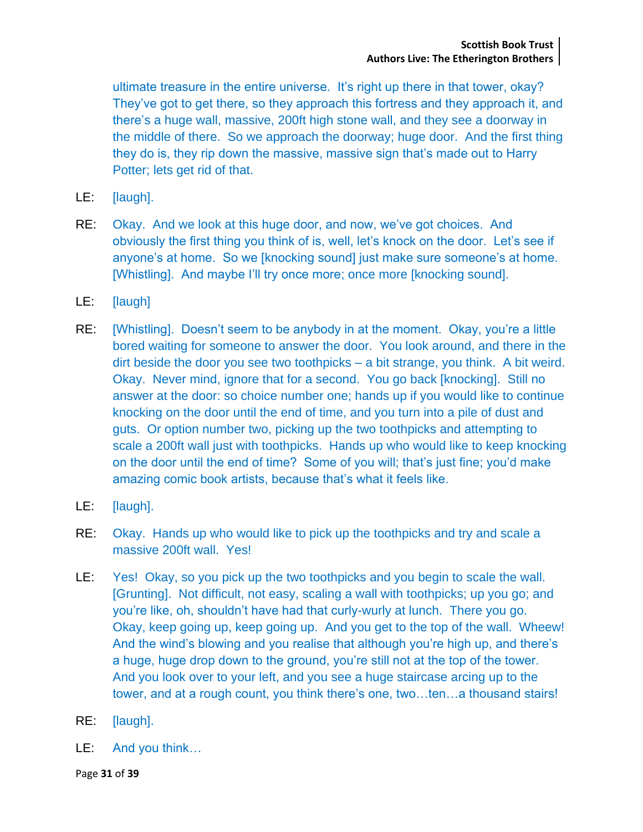ultimate treasure in the entire universe. It's right up there in that tower, okay? They've got to get there, so they approach this fortress and they approach it, and there's a huge wall, massive, 200ft high stone wall, and they see a doorway in the middle of there. So we approach the doorway; huge door. And the first thing they do is, they rip down the massive, massive sign that's made out to Harry Potter; lets get rid of that.

- LE: [laugh].
- RE: Okay. And we look at this huge door, and now, we've got choices. And obviously the first thing you think of is, well, let's knock on the door. Let's see if anyone's at home. So we [knocking sound] just make sure someone's at home. [Whistling]. And maybe I'll try once more; once more [knocking sound].
- LE: [laugh]
- RE: [Whistling]. Doesn't seem to be anybody in at the moment. Okay, you're a little bored waiting for someone to answer the door. You look around, and there in the dirt beside the door you see two toothpicks – a bit strange, you think. A bit weird. Okay. Never mind, ignore that for a second. You go back [knocking]. Still no answer at the door: so choice number one; hands up if you would like to continue knocking on the door until the end of time, and you turn into a pile of dust and guts. Or option number two, picking up the two toothpicks and attempting to scale a 200ft wall just with toothpicks. Hands up who would like to keep knocking on the door until the end of time? Some of you will; that's just fine; you'd make amazing comic book artists, because that's what it feels like.
- LE: [laugh].
- RE: Okay. Hands up who would like to pick up the toothpicks and try and scale a massive 200ft wall. Yes!
- LE: Yes! Okay, so you pick up the two toothpicks and you begin to scale the wall. [Grunting]. Not difficult, not easy, scaling a wall with toothpicks; up you go; and you're like, oh, shouldn't have had that curly-wurly at lunch. There you go. Okay, keep going up, keep going up. And you get to the top of the wall. Wheew! And the wind's blowing and you realise that although you're high up, and there's a huge, huge drop down to the ground, you're still not at the top of the tower. And you look over to your left, and you see a huge staircase arcing up to the tower, and at a rough count, you think there's one, two…ten…a thousand stairs!
- RE: [laugh].
- LE: And you think…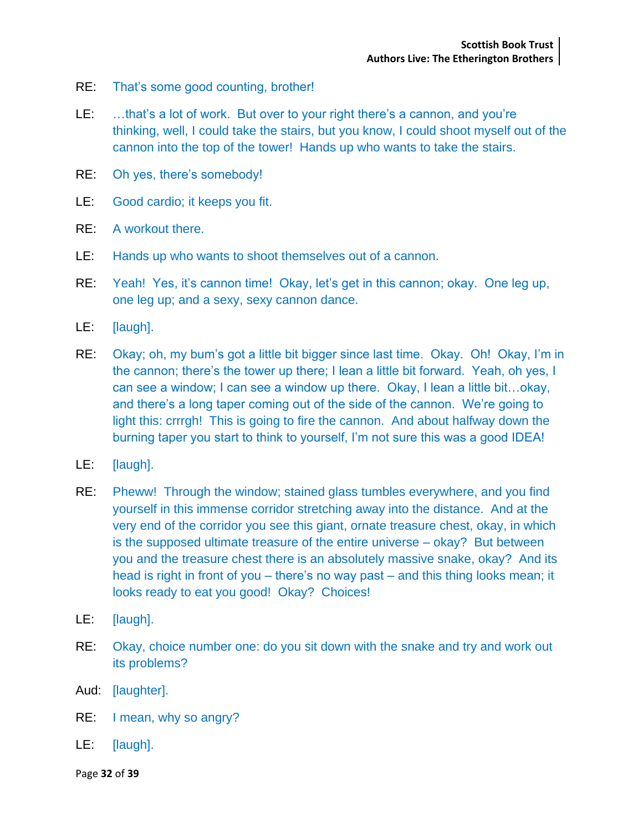- RE: That's some good counting, brother!
- LE: …that's a lot of work. But over to your right there's a cannon, and you're thinking, well, I could take the stairs, but you know, I could shoot myself out of the cannon into the top of the tower! Hands up who wants to take the stairs.
- RE: Oh yes, there's somebody!
- LE: Good cardio; it keeps you fit.
- RE: A workout there.
- LE: Hands up who wants to shoot themselves out of a cannon.
- RE: Yeah! Yes, it's cannon time! Okay, let's get in this cannon; okay. One leg up, one leg up; and a sexy, sexy cannon dance.
- LE: [laugh].
- RE: Okay; oh, my bum's got a little bit bigger since last time. Okay. Oh! Okay, I'm in the cannon; there's the tower up there; I lean a little bit forward. Yeah, oh yes, I can see a window; I can see a window up there. Okay, I lean a little bit…okay, and there's a long taper coming out of the side of the cannon. We're going to light this: crrrgh! This is going to fire the cannon. And about halfway down the burning taper you start to think to yourself, I'm not sure this was a good IDEA!
- LE: [laugh].
- RE: Pheww! Through the window; stained glass tumbles everywhere, and you find yourself in this immense corridor stretching away into the distance. And at the very end of the corridor you see this giant, ornate treasure chest, okay, in which is the supposed ultimate treasure of the entire universe – okay? But between you and the treasure chest there is an absolutely massive snake, okay? And its head is right in front of you – there's no way past – and this thing looks mean; it looks ready to eat you good! Okay? Choices!
- LE: [laugh].
- RE: Okay, choice number one: do you sit down with the snake and try and work out its problems?
- Aud: [laughter].
- RE: I mean, why so angry?
- LE: [laugh].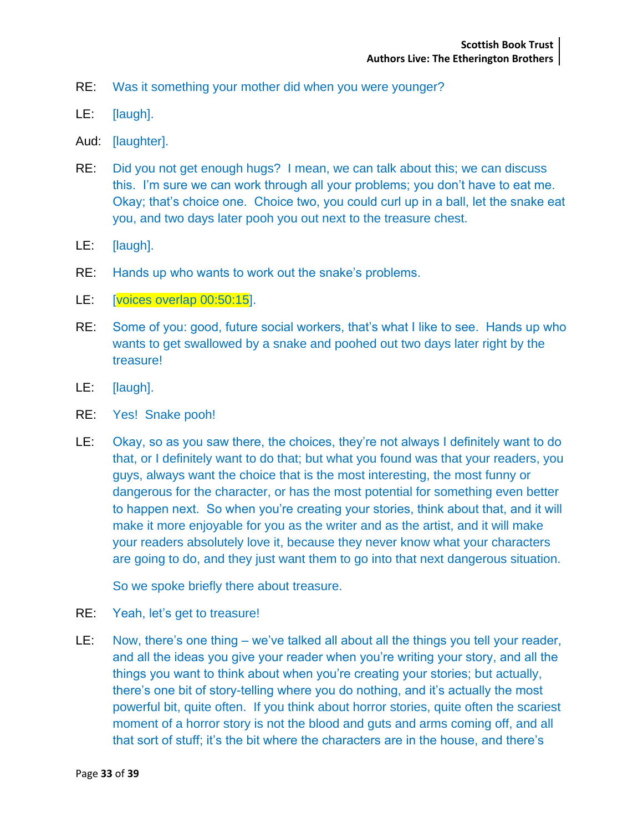- RE: Was it something your mother did when you were younger?
- LE: [laugh].
- Aud: [laughter].
- RE: Did you not get enough hugs? I mean, we can talk about this; we can discuss this. I'm sure we can work through all your problems; you don't have to eat me. Okay; that's choice one. Choice two, you could curl up in a ball, let the snake eat you, and two days later pooh you out next to the treasure chest.
- LE: [laugh].
- RE: Hands up who wants to work out the snake's problems.
- LE: [voices overlap 00:50:15].
- RE: Some of you: good, future social workers, that's what I like to see. Hands up who wants to get swallowed by a snake and poohed out two days later right by the treasure!
- LE: [laugh].
- RE: Yes! Snake pooh!
- LE: Okay, so as you saw there, the choices, they're not always I definitely want to do that, or I definitely want to do that; but what you found was that your readers, you guys, always want the choice that is the most interesting, the most funny or dangerous for the character, or has the most potential for something even better to happen next. So when you're creating your stories, think about that, and it will make it more enjoyable for you as the writer and as the artist, and it will make your readers absolutely love it, because they never know what your characters are going to do, and they just want them to go into that next dangerous situation.

So we spoke briefly there about treasure.

- RE: Yeah, let's get to treasure!
- LE: Now, there's one thing we've talked all about all the things you tell your reader, and all the ideas you give your reader when you're writing your story, and all the things you want to think about when you're creating your stories; but actually, there's one bit of story-telling where you do nothing, and it's actually the most powerful bit, quite often. If you think about horror stories, quite often the scariest moment of a horror story is not the blood and guts and arms coming off, and all that sort of stuff; it's the bit where the characters are in the house, and there's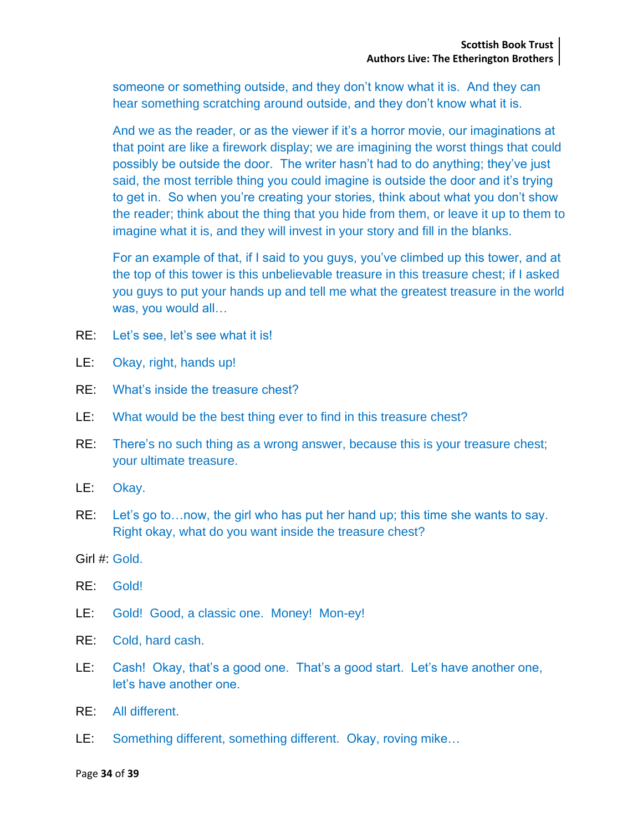someone or something outside, and they don't know what it is. And they can hear something scratching around outside, and they don't know what it is.

And we as the reader, or as the viewer if it's a horror movie, our imaginations at that point are like a firework display; we are imagining the worst things that could possibly be outside the door. The writer hasn't had to do anything; they've just said, the most terrible thing you could imagine is outside the door and it's trying to get in. So when you're creating your stories, think about what you don't show the reader; think about the thing that you hide from them, or leave it up to them to imagine what it is, and they will invest in your story and fill in the blanks.

For an example of that, if I said to you guys, you've climbed up this tower, and at the top of this tower is this unbelievable treasure in this treasure chest; if I asked you guys to put your hands up and tell me what the greatest treasure in the world was, you would all…

- RE: Let's see, let's see what it is!
- LE: Okay, right, hands up!
- RE: What's inside the treasure chest?
- LE: What would be the best thing ever to find in this treasure chest?
- RE: There's no such thing as a wrong answer, because this is your treasure chest; your ultimate treasure.
- LE: Okay.
- RE: Let's go to…now, the girl who has put her hand up; this time she wants to say. Right okay, what do you want inside the treasure chest?
- Girl #: Gold.
- RE: Gold!
- LE: Gold! Good, a classic one. Money! Mon-ey!
- RE: Cold, hard cash.
- LE: Cash! Okay, that's a good one. That's a good start. Let's have another one, let's have another one.
- RE: All different.
- LE: Something different, something different. Okay, roving mike…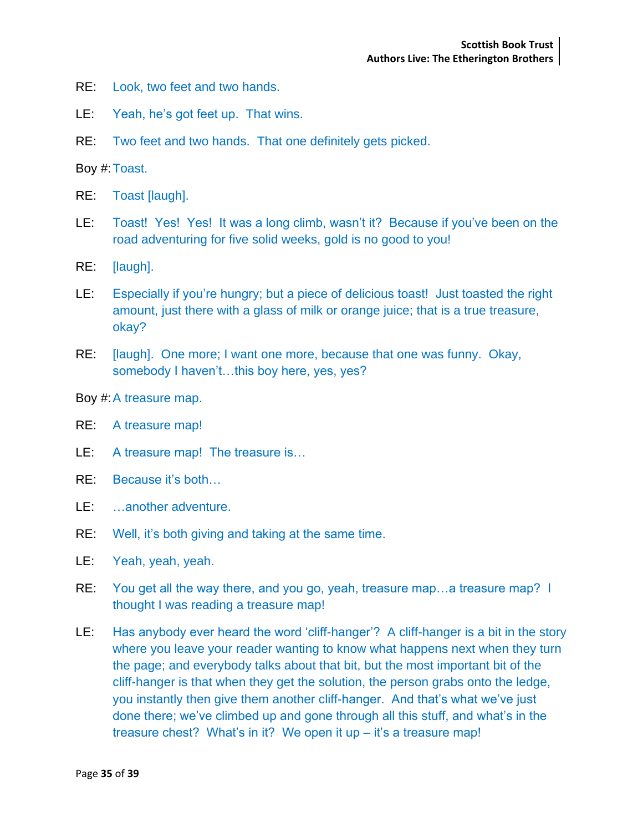- RE: Look, two feet and two hands.
- LE: Yeah, he's got feet up. That wins.
- RE: Two feet and two hands. That one definitely gets picked.

Boy #:Toast.

- RE: Toast [laugh].
- LE: Toast! Yes! Yes! It was a long climb, wasn't it? Because if you've been on the road adventuring for five solid weeks, gold is no good to you!
- RE: [laugh].
- LE: Especially if you're hungry; but a piece of delicious toast! Just toasted the right amount, just there with a glass of milk or orange juice; that is a true treasure, okay?
- RE: [laugh]. One more; I want one more, because that one was funny. Okay, somebody I haven't...this boy here, yes, yes?

Boy #:A treasure map.

- RE: A treasure map!
- LE: A treasure map! The treasure is...
- RE: Because it's both…
- LE: …another adventure.
- RE: Well, it's both giving and taking at the same time.
- LE: Yeah, yeah, yeah.
- RE: You get all the way there, and you go, yeah, treasure map…a treasure map? I thought I was reading a treasure map!
- LE: Has anybody ever heard the word 'cliff-hanger'? A cliff-hanger is a bit in the story where you leave your reader wanting to know what happens next when they turn the page; and everybody talks about that bit, but the most important bit of the cliff-hanger is that when they get the solution, the person grabs onto the ledge, you instantly then give them another cliff-hanger. And that's what we've just done there; we've climbed up and gone through all this stuff, and what's in the treasure chest? What's in it? We open it up – it's a treasure map!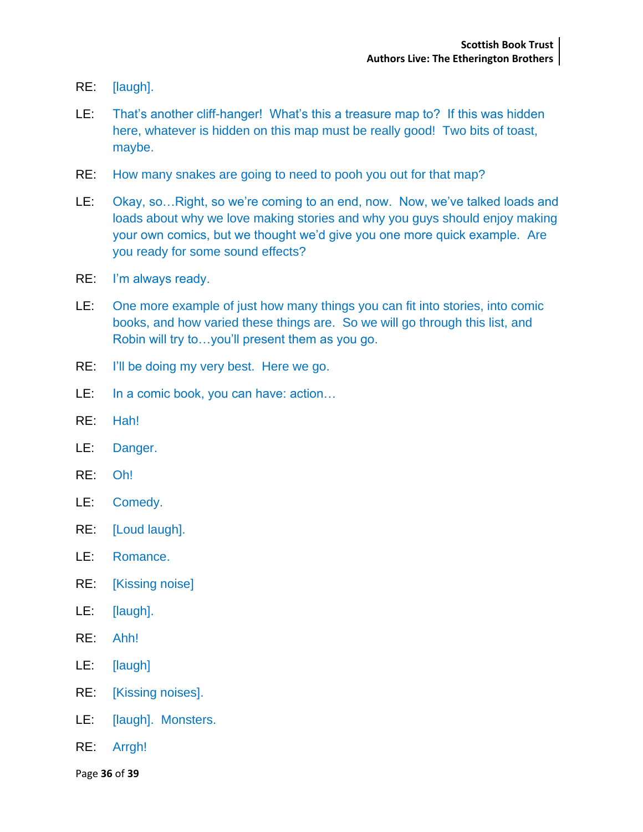- RE: [laugh].
- LE: That's another cliff-hanger! What's this a treasure map to? If this was hidden here, whatever is hidden on this map must be really good! Two bits of toast, maybe.
- RE: How many snakes are going to need to pooh you out for that map?
- LE: Okay, so…Right, so we're coming to an end, now. Now, we've talked loads and loads about why we love making stories and why you guys should enjoy making your own comics, but we thought we'd give you one more quick example. Are you ready for some sound effects?
- RE: I'm always ready.
- LE: One more example of just how many things you can fit into stories, into comic books, and how varied these things are. So we will go through this list, and Robin will try to…you'll present them as you go.
- RE: I'll be doing my very best. Here we go.
- LE: In a comic book, you can have: action…
- RE: Hah!
- LE: Danger.
- RE: Oh!
- LE: Comedy.
- RE: [Loud laugh].
- LE: Romance.
- RE: [Kissing noise]
- LE: [laugh].
- RE: Ahh!
- LE: [laugh]
- RE: [Kissing noises].
- LE: [laugh]. Monsters.
- RE: Arrgh!

Page **36** of **39**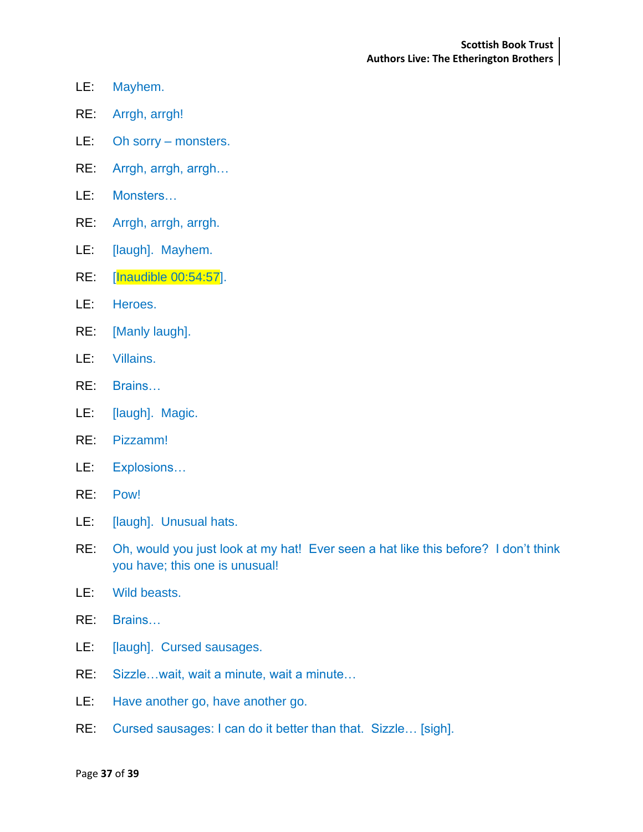- LE: Mayhem.
- RE: Arrgh, arrgh!
- LE: Oh sorry monsters.
- RE: Arrgh, arrgh, arrgh…
- LE: Monsters…
- RE: Arrgh, arrgh, arrgh.
- LE: [laugh]. Mayhem.
- RE: [Inaudible 00:54:57].
- LE: Heroes.
- RE: [Manly laugh].
- LE: Villains.
- RE: Brains…
- LE: [laugh]. Magic.
- RE: Pizzamm!
- LE: Explosions…
- RE: Pow!
- LE: [laugh]. Unusual hats.
- RE: Oh, would you just look at my hat! Ever seen a hat like this before? I don't think you have; this one is unusual!
- LE: Wild beasts.
- RE: Brains…
- LE: [laugh]. Cursed sausages.
- RE: Sizzle…wait, wait a minute, wait a minute…
- LE: Have another go, have another go.
- RE: Cursed sausages: I can do it better than that. Sizzle… [sigh].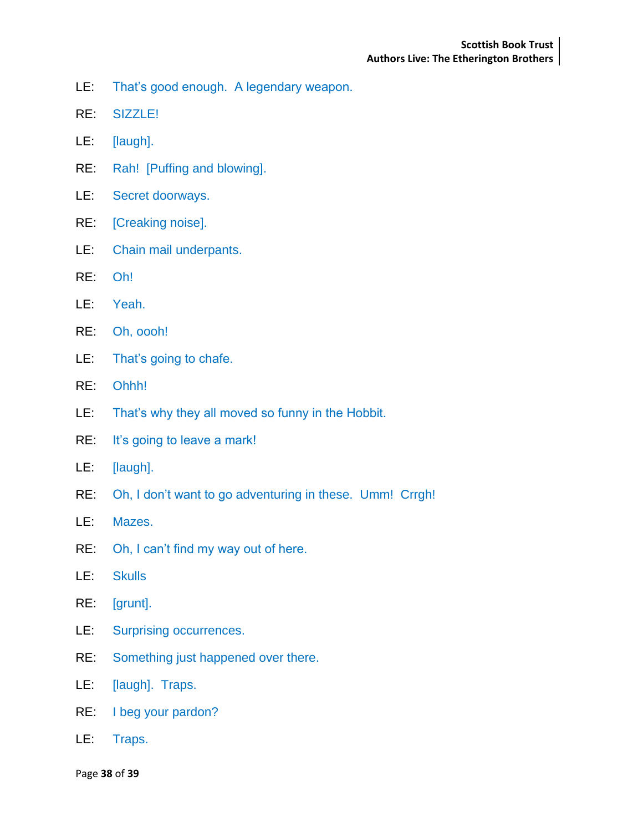- LE: That's good enough. A legendary weapon.
- RE: SIZZLE!
- LE: [laugh].
- RE: Rah! [Puffing and blowing].
- LE: Secret doorways.
- RE: [Creaking noise].
- LE: Chain mail underpants.
- RE: Oh!
- LE: Yeah.
- RE: Oh, oooh!
- LE: That's going to chafe.
- RE: Ohhh!
- LE: That's why they all moved so funny in the Hobbit.
- RE: It's going to leave a mark!
- LE: [laugh].
- RE: Oh, I don't want to go adventuring in these. Umm! Crrgh!
- LE: Mazes.
- RE: Oh, I can't find my way out of here.
- LE: Skulls
- RE: [grunt].
- LE: Surprising occurrences.
- RE: Something just happened over there.
- LE: [laugh]. Traps.
- RE: I beg your pardon?
- LE: Traps.